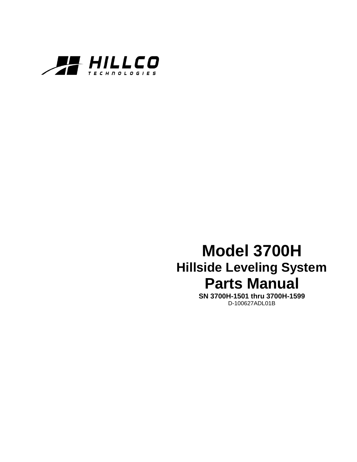

# **Model 3700H Hillside Leveling System Parts Manual**

**SN 3700H-1501 thru 3700H-1599** D-100627ADL01B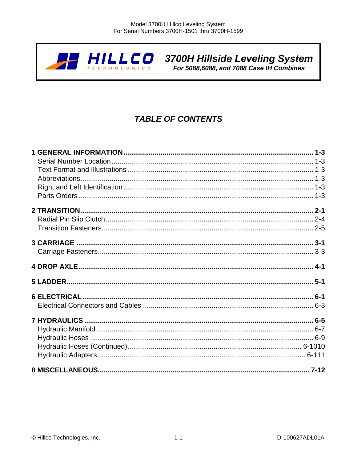

**ANLLCO** 3700H Hillside Leveling System<br>For 5088,6088, and 7088 Case IH Combines

# **TABLE OF CONTENTS**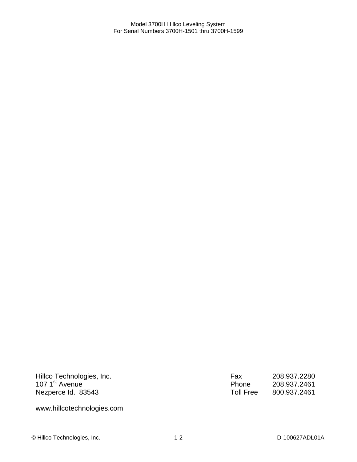| Hillco Technologies, Inc.  |  |
|----------------------------|--|
| 107 1 <sup>st</sup> Avenue |  |
| Nezperce Id. 83543         |  |

Fax 208.937.2280<br>Phone 208.937.2461 Phone 208.937.2461<br>Toll Free 800.937.2461 Toll Free 800.937.2461

www.hillcotechnologies.com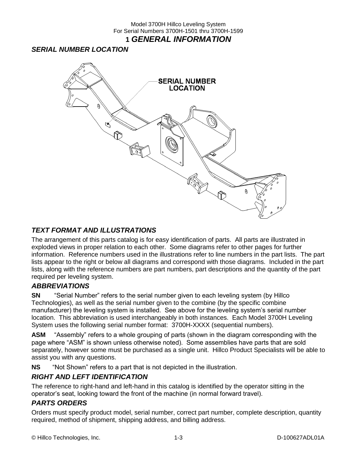### <span id="page-4-1"></span><span id="page-4-0"></span>*SERIAL NUMBER LOCATION*



### <span id="page-4-2"></span>*TEXT FORMAT AND ILLUSTRATIONS*

The arrangement of this parts catalog is for easy identification of parts. All parts are illustrated in exploded views in proper relation to each other. Some diagrams refer to other pages for further information. Reference numbers used in the illustrations refer to line numbers in the part lists. The part lists appear to the right or below all diagrams and correspond with those diagrams. Included in the part lists, along with the reference numbers are part numbers, part descriptions and the quantity of the part required per leveling system.

### <span id="page-4-3"></span>*ABBREVIATIONS*

**SN** "Serial Number" refers to the serial number given to each leveling system (by Hillco Technologies), as well as the serial number given to the combine (by the specific combine manufacturer) the leveling system is installed. See above for the leveling system's serial number location. This abbreviation is used interchangeably in both instances. Each Model 3700H Leveling System uses the following serial number format: 3700H-XXXX (sequential numbers).

**ASM** "Assembly" refers to a whole grouping of parts (shown in the diagram corresponding with the page where "ASM" is shown unless otherwise noted). Some assemblies have parts that are sold separately, however some must be purchased as a single unit. Hillco Product Specialists will be able to assist you with any questions.

**NS** "Not Shown" refers to a part that is not depicted in the illustration.

### <span id="page-4-4"></span>*RIGHT AND LEFT IDENTIFICATION*

The reference to right-hand and left-hand in this catalog is identified by the operator sitting in the operator's seat, looking toward the front of the machine (in normal forward travel).

### <span id="page-4-5"></span>*PARTS ORDERS*

Orders must specify product model, serial number, correct part number, complete description, quantity required, method of shipment, shipping address, and billing address.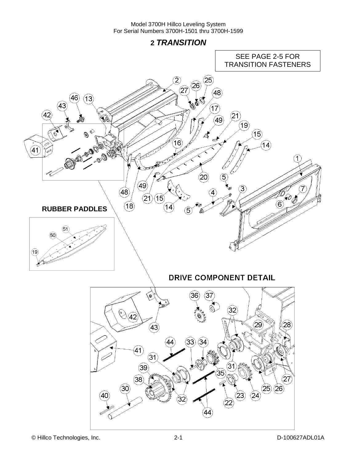**2** *TRANSITION*

<span id="page-5-0"></span>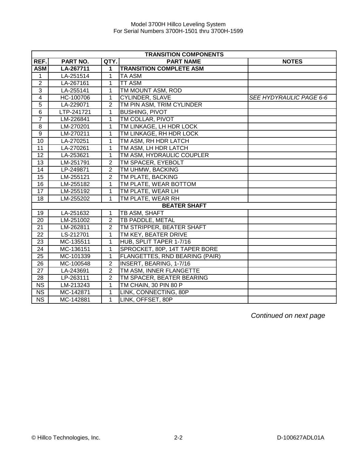|                 | <b>TRANSITION COMPONENTS</b> |                |                                |                         |  |  |
|-----------------|------------------------------|----------------|--------------------------------|-------------------------|--|--|
| REF.            | PART NO.                     | QTY.           | <b>PART NAME</b>               | <b>NOTES</b>            |  |  |
| <b>ASM</b>      | LA-267711                    | 1              | <b>TRANSITION COMPLETE ASM</b> |                         |  |  |
| 1               | LA-251514                    | 1              | <b>TA ASM</b>                  |                         |  |  |
| $\overline{2}$  | LA-267161                    | 1              | <b>TT ASM</b>                  |                         |  |  |
| 3               | LA-255141                    | 1              | TM MOUNT ASM, ROD              |                         |  |  |
| $\overline{4}$  | HC-100706                    | 1              | <b>CYLINDER, SLAVE</b>         | SEE HYDYRAULIC PAGE 6-6 |  |  |
| $\overline{5}$  | LA-229071                    | 2              | TM PIN ASM, TRIM CYLINDER      |                         |  |  |
| $\overline{6}$  | LTP-241721                   | 1              | <b>BUSHING, PIVOT</b>          |                         |  |  |
| $\overline{7}$  | LM-226841                    | 1              | TM COLLAR, PIVOT               |                         |  |  |
| $\overline{8}$  | LM-270201                    | 1              | TM LINKAGE, LH HDR LOCK        |                         |  |  |
| $\overline{9}$  | LM-270211                    | 1              | TM LINKAGE, RH HDR LOCK        |                         |  |  |
| $\overline{10}$ | LA-270251                    | 1              | TM ASM, RH HDR LATCH           |                         |  |  |
| 11              | LA-270261                    | 1              | TM ASM, LH HDR LATCH           |                         |  |  |
| $\overline{12}$ | LA-253621                    | 1              | TM ASM, HYDRAULIC COUPLER      |                         |  |  |
| 13              | LM-251791                    | 2              | TM SPACER, EYEBOLT             |                         |  |  |
| 14              | LP-249871                    | $\overline{2}$ | TM UHMW, BACKING               |                         |  |  |
| $\overline{15}$ | LM-255121                    | $\overline{2}$ | TM PLATE, BACKING              |                         |  |  |
| 16              | LM-255182                    | 1              | TM PLATE, WEAR BOTTOM          |                         |  |  |
| 17              | LM-255192                    | 1              | TM PLATE, WEAR LH              |                         |  |  |
| 18              | LM-255202                    | 1              | TM PLATE, WEAR RH              |                         |  |  |
|                 |                              |                | <b>BEATER SHAFT</b>            |                         |  |  |
| 19              | LA-251632                    | 1              | TB ASM, SHAFT                  |                         |  |  |
| 20              | LM-251002                    | 2              | TB PADDLE, METAL               |                         |  |  |
| 21              | LM-262811                    | $\overline{2}$ | TM STRIPPER, BEATER SHAFT      |                         |  |  |
| 22              | LS-212701                    | 1              | TM KEY, BEATER DRIVE           |                         |  |  |
| 23              | MC-135511                    | 1              | HUB, SPLIT TAPER 1-7/16        |                         |  |  |
| 24              | MC-136151                    | 1              | SPROCKET, 80P, 14T TAPER BORE  |                         |  |  |
| 25              | MC-101339                    | 1              | FLANGETTES, RND BEARING (PAIR) |                         |  |  |
| 26              | MC-100548                    | $\overline{2}$ | INSERT, BEARING, 1-7/16        |                         |  |  |
| 27              | LA-243691                    | 2              | TM ASM, INNER FLANGETTE        |                         |  |  |
| 28              | LP-263111                    | $\overline{2}$ | TM SPACER, BEATER BEARING      |                         |  |  |
| <b>NS</b>       | LM-213243                    | 1              | TM CHAIN, 30 PIN 80 P          |                         |  |  |
| <b>NS</b>       | MC-142871                    | 1              | LINK, CONNECTING, 80P          |                         |  |  |
| <b>NS</b>       | MC-142881                    | 1              | LINK, OFFSET, 80P              |                         |  |  |

*Continued on next page*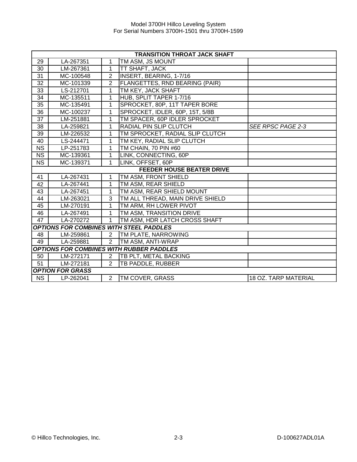|                        | <b>TRANSITION THROAT JACK SHAFT</b> |                |                                                 |                             |  |
|------------------------|-------------------------------------|----------------|-------------------------------------------------|-----------------------------|--|
| 29                     | LA-267351                           | 1              | TM ASM, JS MOUNT                                |                             |  |
| 30                     | LM-267361                           | 1              | TT SHAFT, JACK                                  |                             |  |
| 31                     | MC-100548                           | 2              | INSERT, BEARING, 1-7/16                         |                             |  |
| 32                     | MC-101339                           | $\overline{2}$ | <b>FLANGETTES, RND BEARING (PAIR)</b>           |                             |  |
| 33                     | LS-212701                           | 1              | TM KEY, JACK SHAFT                              |                             |  |
| 34                     | MC-135511                           | 1              | HUB, SPLIT TAPER 1-7/16                         |                             |  |
| 35                     | MC-135491                           | 1              | SPROCKET, 80P, 11T TAPER BORE                   |                             |  |
| 36                     | MC-100237                           | 1              | SPROCKET, IDLER, 60P, 15T, 5/8B                 |                             |  |
| 37                     | LM-251881                           | 1              | TM SPACER, 60P IDLER SPROCKET                   |                             |  |
| 38                     | LA-259821                           | 1              | RADIAL PIN SLIP CLUTCH                          | SEE RPSC PAGE 2-3           |  |
| 39                     | LM-226532                           | 1              | TM SPROCKET, RADIAL SLIP CLUTCH                 |                             |  |
| 40                     | LS-244471                           | 1              | TM KEY, RADIAL SLIP CLUTCH                      |                             |  |
| $\overline{\text{NS}}$ | LP-251783                           | 1              | TM CHAIN, 70 PIN #60                            |                             |  |
| $\overline{\text{NS}}$ | MC-139361                           | 1              | LINK, CONNECTING, 60P                           |                             |  |
| $\overline{\text{NS}}$ | MC-139371                           | 1              | LINK, OFFSET, 60P                               |                             |  |
|                        |                                     |                | <b>FEEDER HOUSE BEATER DRIVE</b>                |                             |  |
| 41                     | LA-267431                           | 1              | TM ASM, FRONT SHIELD                            |                             |  |
| 42                     | LA-267441                           | 1              | TM ASM, REAR SHIELD                             |                             |  |
| 43                     | LA-267451                           | 1              | TM ASM, REAR SHIELD MOUNT                       |                             |  |
| 44                     | LM-263021                           | 3              | TM ALL THREAD, MAIN DRIVE SHIELD                |                             |  |
| 45                     | LM-270191                           | 1              | TM ARM, RH LOWER PIVOT                          |                             |  |
| 46                     | LA-267491                           | 1              | TM ASM, TRANSITION DRIVE                        |                             |  |
| 47                     | LA-270272                           | 1              | TM ASM, HDR LATCH CROSS SHAFT                   |                             |  |
|                        |                                     |                | <b>OPTIONS FOR COMBINES WITH STEEL PADDLES</b>  |                             |  |
| 48                     | LM-259861                           | 2              | TM PLATE, NARROWING                             |                             |  |
| 49                     | LA-259881                           | $\overline{2}$ | TM ASM, ANTI-WRAP                               |                             |  |
|                        |                                     |                | <b>OPTIONS FOR COMBINES WITH RUBBER PADDLES</b> |                             |  |
| 50                     | LM-272171                           | 2              | TB PLT, METAL BACKING                           |                             |  |
| 51                     | LM-272181                           | $\overline{2}$ | TB PADDLE, RUBBER                               |                             |  |
|                        | <b>OPTION FOR GRASS</b>             |                |                                                 |                             |  |
| <b>NS</b>              | LP-262041                           | 2              | <b>TM COVER, GRASS</b>                          | <b>18 OZ. TARP MATERIAL</b> |  |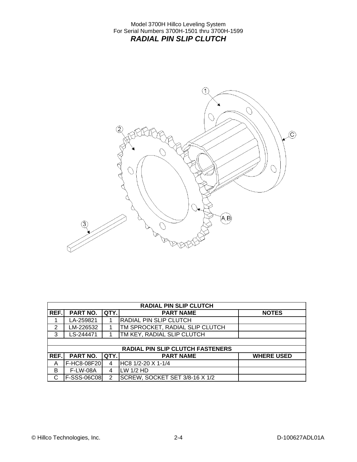<span id="page-8-0"></span>

| <b>RADIAL PIN SLIP CLUTCH</b> |                    |               |                                         |                   |
|-------------------------------|--------------------|---------------|-----------------------------------------|-------------------|
| REF.                          | PART NO.           | QTY.          | <b>PART NAME</b>                        | <b>NOTES</b>      |
|                               | LA-259821          |               | <b>RADIAL PIN SLIP CLUTCH</b>           |                   |
| 2                             | LM-226532          |               | TM SPROCKET, RADIAL SLIP CLUTCH         |                   |
| 3                             | LS-244471          |               | TM KEY, RADIAL SLIP CLUTCH              |                   |
|                               |                    |               |                                         |                   |
|                               |                    |               | <b>RADIAL PIN SLIP CLUTCH FASTENERS</b> |                   |
| REF.                          | <b>PART NO.</b>    | QTY.          | <b>PART NAME</b>                        | <b>WHERE USED</b> |
| A                             | F-HC8-08F20        | 4             | HC8 1/2-20 X 1-1/4                      |                   |
| B                             | <b>F-LW-08A</b>    | 4             | LW 1/2 HD                               |                   |
| C                             | <b>F-SSS-06C08</b> | $\mathcal{P}$ | SCREW, SOCKET SET 3/8-16 X 1/2          |                   |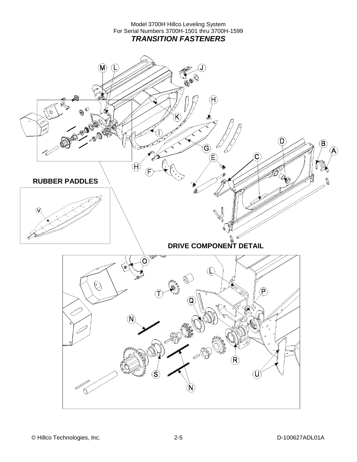Model 3700H Hillco Leveling System For Serial Numbers 3700H-1501 thru 3700H-1599 *TRANSITION FASTENERS*

<span id="page-9-0"></span>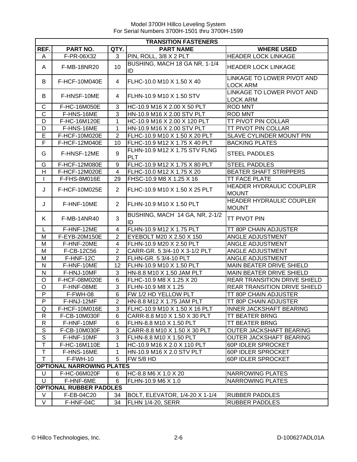|                   | <b>TRANSITION FASTENERS</b>      |                |                                             |                                                 |  |
|-------------------|----------------------------------|----------------|---------------------------------------------|-------------------------------------------------|--|
| REF.              | PART NO.                         | QTY.           | <b>PART NAME</b>                            | <b>WHERE USED</b>                               |  |
| A                 | F-PR-06X32                       | 3              | PIN, ROLL, 3/8 X 2 PLT                      | <b>HEADER LOCK LINKAGE</b>                      |  |
| A                 | <b>F-MB-18NR20</b>               | 10             | BUSHING, MACH 18 GA NR, 1-1/4<br>ID         | <b>HEADER LOCK LINKAGE</b>                      |  |
| В                 | F-HCF-10M040E                    | 4              | FLHC-10.0 M10 X 1.50 X 40                   | LINKAGE TO LOWER PIVOT AND<br><b>LOCK ARM</b>   |  |
| В                 | F-HNSF-10ME                      | 4              | FLHN-10.9 M10 X 1.50 STV                    | LINKAGE TO LOWER PIVOT AND<br><b>LOCK ARM</b>   |  |
| C                 | F-HC-16M050E                     | 3              | HC-10.9 M16 X 2.00 X 50 PLT                 | <b>ROD MNT</b>                                  |  |
| C                 | F-HNS-16ME                       | 3              | HN-10.9 M16 X 2.00 STV PLT                  | <b>ROD MNT</b>                                  |  |
| D                 | F-HC-16M120E                     | 1              | HC-10.9 M16 X 2.00 X 120 PLT                | <b>TT PIVOT PIN COLLAR</b>                      |  |
| D                 | F-HNS-16ME                       | 1              | HN-10.9 M16 X 2.00 STV PLT                  | <b>TT PIVOT PIN COLLAR</b>                      |  |
| E                 | F-HCF-10M020E                    | $\overline{2}$ | FLHC-10.9 M10 X 1.50 X 20 PLT               | SLAVE CYLINDER MOUNT PIN                        |  |
| F                 | F-HCF-12M040E                    | 10             | FLHC-10.9 M12 X 1.75 X 40 PLT               | <b>BACKING PLATES</b>                           |  |
| G                 | F-HNSF-12ME                      | 9              | FLHN-10.9 M12 X 1.75 STV FLNG<br><b>PLT</b> | <b>STEEL PADDLES</b>                            |  |
| G                 | F-HCF-12M080E                    | 9              | FLHC-10.9 M12 X 1.75 X 80 PLT               | <b>STEEL PADDLES</b>                            |  |
| H                 | F-HCF-12M020E                    | 4              | FLHC-10.0 M12 X 1.75 X 20                   | <b>BEATER SHAFT STRIPPERS</b>                   |  |
| $\mathbf{I}$      | F-FHS-8M016E                     | 29             | FHSC-10.9 M8 X 1.25 X 16                    | <b>TT FACE PLATE</b>                            |  |
| J                 | F-HCF-10M025E                    | $\overline{2}$ | FLHC-10.9 M10 X 1.50 X 25 PLT               | <b>HEADER HYDRAULIC COUPLER</b><br><b>MOUNT</b> |  |
| J                 | F-HNF-10ME                       | $\overline{2}$ | FLHN-10.9 M10 X 1.50 PLT                    | <b>HEADER HYDRAULIC COUPLER</b><br><b>MOUNT</b> |  |
| K.                | <b>F-MB-14NR40</b>               | 3              | BUSHING, MACH 14 GA, NR, 2-1/2<br>ID        | <b>TT PIVOT PIN</b>                             |  |
| L                 | F-HNF-12ME                       | $\overline{4}$ | FLHN-10.9 M12 X 1.75 PLT                    | TT 80P CHAIN ADJUSTER                           |  |
| M                 | F-EYB-20M150E                    | $\overline{2}$ | EYEBOLT M20 X 2.50 X 150                    | ANGLE ADJUSTMENT                                |  |
| M                 | F-HNF-20ME                       | 4              | FLHN-10.9 M20 X 2.50 PLT                    | ANGLE ADJUSTMENT                                |  |
| M                 | F-CB-12C56                       | $\overline{2}$ | CARR-GR. 5 3/4-10 X 3-1/2 PLT               | ANGLE ADJUSTMENT                                |  |
| M                 | F-HNF-12C                        | $\overline{2}$ | FLHN-GR. 5 3/4-10 PLT                       | ANGLE ADJUSTMENT                                |  |
| N                 | F-HNF-10ME                       | 12             | FLHN-10.9 M10 X 1.50 PLT                    | MAIN BEATER DRIVE SHIELD                        |  |
| N                 | F-HNJ-10MF                       | 3              | HN-8.8 M10 X 1.50 JAM PLT                   | MAIN BEATER DRIVE SHIELD                        |  |
| O                 | F-HCF-08M020E                    | 6              | FLHC-10.9 M8 X 1.25 X 20                    | <b>REAR TRANSITION DRIVE SHIELD</b>             |  |
| O                 | F-HNF-08ME                       | 3              | FLHN-10.9 M8 X 1.25                         | <b>REAR TRANSITION DRIVE SHIELD</b>             |  |
| P                 | F-FWH-08                         | 6              | FW 1/2 HD YELLOW PLT                        | TT 80P CHAIN ADJUSTER                           |  |
| P                 | F-HNJ-12MF                       | $\overline{2}$ | HN-8.8 M12 X 1.75 JAM PLT                   | TT 80P CHAIN ADJUSTER                           |  |
| Q                 | F-HCF-10M016E                    | 3              | FLHC-10.9 M10 X 1.50 X 16 PLT               | <b>INNER JACKSHAFT BEARING</b>                  |  |
| R                 | F-CB-10M030F                     | 6              | CARR-8.8 M10 X 1.50 X 30 PLT                | <b>TT BEATER BRNG</b>                           |  |
| R                 | F-HNF-10MF                       | 6              | FLHN-8.8 M10 X 1.50 PLT                     | <b>TT BEATER BRNG</b>                           |  |
| S                 | F-CB-10M030F                     | 3              | CARR-8.8 M10 X 1.50 X 30 PLT                | OUTER JACKSHAFT BEARING                         |  |
| $\overline{S}$    | F-HNF-10MF                       | 3              | FLHN-8.8 M10 X 1.50 PLT                     | OUTER JACKSHAFT BEARING                         |  |
| T                 | F-HC-16M110E                     | 1              | HC-10.9 M16 X 2.0 X 110 PLT                 | 60P IDLER SPROCKET                              |  |
| $\overline{\top}$ | F-HNS-16ME                       | 1              | HN-10.9 M16 X 2.0 STV PLT                   | 60P IDLER SPROCKET                              |  |
| T                 | F-FWH-10                         | 5              | FW 5/8 HD                                   | 60P IDLER SPROCKET                              |  |
|                   | <b>OPTIONAL NARROWING PLATES</b> |                |                                             |                                                 |  |
| U                 | F-HC-06M020F                     | 6              | HC-8.8 M6 X 1.0 X 20                        | NARROWING PLATES                                |  |
| U                 | F-HNF-6ME                        | 6              | FLHN-10.9 M6 X 1.0                          | NARROWING PLATES                                |  |
|                   | <b>OPTIONAL RUBBER PADDLES</b>   |                |                                             |                                                 |  |
| V                 | F-EB-04C20                       | 34             | BOLT, ELEVATOR, 1/4-20 X 1-1/4              | <b>RUBBER PADDLES</b>                           |  |
| V                 | F-HNF-04C                        | 34             | <b>FLHN 1/4-20, SERR</b>                    | <b>RUBBER PADDLES</b>                           |  |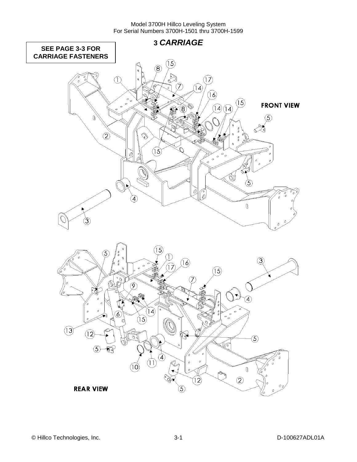<span id="page-11-0"></span>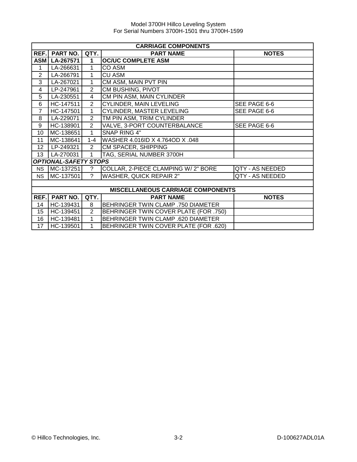|                | <b>CARRIAGE COMPONENTS</b>   |                          |                                          |                 |  |  |
|----------------|------------------------------|--------------------------|------------------------------------------|-----------------|--|--|
| REF.           | <b>PART NO.</b>              | QTY.<br><b>PART NAME</b> |                                          | <b>NOTES</b>    |  |  |
| <b>ASM</b>     | LA-267571                    | 1                        | <b>OC/UC COMPLETE ASM</b>                |                 |  |  |
| 1              | LA-266631                    | 1                        | CO ASM                                   |                 |  |  |
| $\overline{2}$ | LA-266791                    | 1                        | <b>CU ASM</b>                            |                 |  |  |
| 3              | LA-267021                    | $\mathbf{1}$             | CM ASM, MAIN PVT PIN                     |                 |  |  |
| 4              | LP-247961                    | $\overline{2}$           | CM BUSHING, PIVOT                        |                 |  |  |
| $\overline{5}$ | LA-230551                    | $\overline{4}$           | CM PIN ASM, MAIN CYLINDER                |                 |  |  |
| $\overline{6}$ | HC-147511                    | $\overline{2}$           | <b>CYLINDER, MAIN LEVELING</b>           | SEE PAGE 6-6    |  |  |
| $\overline{7}$ | HC-147501                    | $\mathbf{1}$             | CYLINDER, MASTER LEVELING                | SEE PAGE 6-6    |  |  |
| 8              | LA-229071                    | $\overline{2}$           | TM PIN ASM, TRIM CYLINDER                |                 |  |  |
| 9              | HC-138901                    | $\overline{2}$           | VALVE, 3-PORT COUNTERBALANCE             | SEE PAGE 6-6    |  |  |
| 10             | MC-138651                    | $\overline{1}$           | <b>SNAP RING 4"</b>                      |                 |  |  |
| 11             | MC-138641                    | $1 - 4$                  | WASHER 4.016ID X 4.764OD X .048          |                 |  |  |
| 12             | LP-249321                    | $\overline{2}$           | <b>CM SPACER, SHIPPING</b>               |                 |  |  |
| 13             | LA-270031                    | $\mathbf{1}$             | TAG, SERIAL NUMBER 3700H                 |                 |  |  |
|                | <b>OPTIONAL-SAFETY STOPS</b> |                          |                                          |                 |  |  |
| <b>NS</b>      | MC-137251                    | ?                        | COLLAR, 2-PIECE CLAMPING W/2" BORE       | QTY - AS NEEDED |  |  |
| <b>NS</b>      | MC-137501                    | $\mathcal{P}$            | <b>WASHER, QUICK REPAIR 2"</b>           | QTY - AS NEEDED |  |  |
|                |                              |                          |                                          |                 |  |  |
|                |                              |                          | <b>MISCELLANEOUS CARRIAGE COMPONENTS</b> |                 |  |  |
| REF.           | <b>PART NO.</b>              | QTY.                     | <b>PART NAME</b>                         | <b>NOTES</b>    |  |  |
| 14             | HC-139431                    | 8                        | BEHRINGER TWIN CLAMP .750 DIAMETER       |                 |  |  |
| 15             | HC-139451                    | 2                        | BEHRINGER TWIN COVER PLATE (FOR .750)    |                 |  |  |
| 16             | HC-139481                    | 1                        | BEHRINGER TWIN CLAMP .620 DIAMETER       |                 |  |  |

17 HC-139501 1 BEHRINGER TWIN COVER PLATE (FOR .620)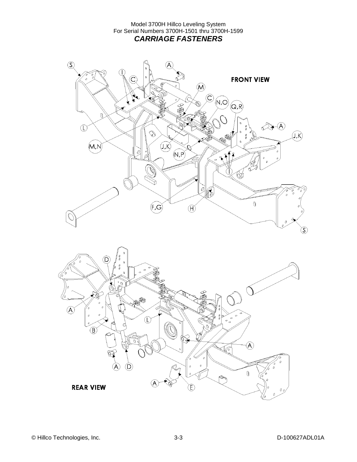<span id="page-13-0"></span>

**REAR VIEW**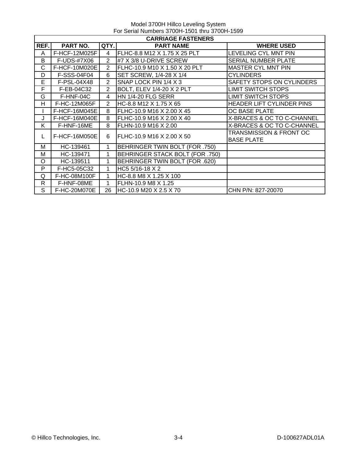|      | <b>CARRIAGE FASTENERS</b> |                |                                 |                                    |  |  |
|------|---------------------------|----------------|---------------------------------|------------------------------------|--|--|
| REF. | PART NO.                  | QTY.           | <b>PART NAME</b>                | <b>WHERE USED</b>                  |  |  |
| A    | F-HCF-12M025F             | 4              | FLHC-8.8 M12 X 1.75 X 25 PLT    | LEVELING CYL MNT PIN               |  |  |
| B    | F-UDS-#7X06               | $\overline{2}$ | #7 X 3/8 U-DRIVE SCREW          | SERIAL NUMBER PLATE                |  |  |
| C    | F-HCF-10M020E             | $\mathcal{P}$  | FLHC-10.9 M10 X 1.50 X 20 PLT   | <b>MASTER CYL MNT PIN</b>          |  |  |
| D    | F-SSS-04F04               | 6              | SET SCREW, 1/4-28 X 1/4         | CYLINDERS                          |  |  |
| Е    | F-PSL-04X48               | $\overline{2}$ | SNAP LOCK PIN 1/4 X 3           | SAFETY STOPS ON CYLINDERS          |  |  |
| F    | F-EB-04C32                | 2              | BOLT, ELEV 1/4-20 X 2 PLT       | <b>LIMIT SWITCH STOPS</b>          |  |  |
| G    | F-HNF-04C                 | 4              | <b>HN 1/4-20 FLG SERR</b>       | LIMIT SWITCH STOPS                 |  |  |
| H    | F-HC-12M065F              | 2              | HC-8.8 M12 X 1.75 X 65          | HEADER LIFT CYLINDER PINS          |  |  |
|      | F-HCF-16M045E             | 8              | FLHC-10.9 M16 X 2.00 X 45       | OC BASE PLATE                      |  |  |
| J    | F-HCF-16M040E             | 8              | FLHC-10.9 M16 X 2.00 X 40       | X-BRACES & OC TO C-CHANNEL         |  |  |
| K    | F-HNF-16ME                | 8              | FLHN-10.9 M16 X 2.00            | X-BRACES & OC TO C-CHANNEL         |  |  |
| L    | F-HCF-16M050E             | 6              | FLHC-10.9 M16 X 2.00 X 50       | <b>TRANSMISSION &amp; FRONT OC</b> |  |  |
|      |                           |                |                                 | <b>BASE PLATE</b>                  |  |  |
| м    | HC-139461                 | 1              | BEHRINGER TWIN BOLT (FOR .750)  |                                    |  |  |
| М    | HC-139471                 | 1              | BEHRINGER STACK BOLT (FOR .750) |                                    |  |  |
| O    | HC-139511                 | 1              | BEHRINGER TWIN BOLT (FOR .620)  |                                    |  |  |
| P    | F-HC5-05C32               | 1              | HC5 5/16-18 X 2                 |                                    |  |  |
| Q    | F-HC-08M100F              | 1              | HC-8.8 M8 X 1.25 X 100          |                                    |  |  |
| R    | F-HNF-08ME                | 1              | FLHN-10.9 M8 X 1.25             |                                    |  |  |
| S    | F-HC-20M070E              | 26             | HC-10.9 M20 X 2.5 X 70          | CHN P/N: 827-20070                 |  |  |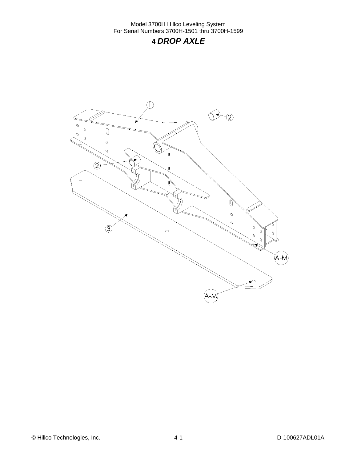## **4** *DROP AXLE*

<span id="page-15-0"></span>

© Hillco Technologies, Inc. 2006 1000 4-1 D-100627ADL01A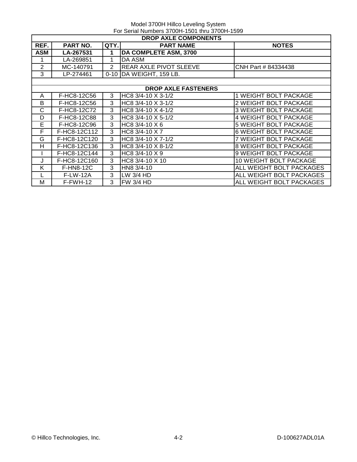|                | <b>DROP AXLE COMPONENTS</b> |                |                               |                              |  |
|----------------|-----------------------------|----------------|-------------------------------|------------------------------|--|
| REF.           | <b>PART NO.</b>             | QTY.           | <b>PART NAME</b>              | <b>NOTES</b>                 |  |
| ASM            | LA-267531                   | 1              | DA COMPLETE ASM, 3700         |                              |  |
| 1              | LA-269851                   | 1              | DA ASM                        |                              |  |
| 2              | MC-140791                   | $\overline{2}$ | <b>REAR AXLE PIVOT SLEEVE</b> | CNH Part # 84334438          |  |
| 3              | LP-274461                   |                | 0-10   DA WEIGHT, 159 LB.     |                              |  |
|                |                             |                |                               |                              |  |
|                |                             |                | <b>DROP AXLE FASTENERS</b>    |                              |  |
| A              | F-HC8-12C56                 | 3              | HC8 3/4-10 X 3-1/2            | 1 WEIGHT BOLT PACKAGE        |  |
| B              | F-HC8-12C56                 | 3              | HC8 3/4-10 X 3-1/2            | 2 WEIGHT BOLT PACKAGE        |  |
| C              | F-HC8-12C72                 | 3              | HC8 3/4-10 X 4-1/2            | <b>3 WEIGHT BOLT PACKAGE</b> |  |
| D              | F-HC8-12C88                 | 3              | HC8 3/4-10 X 5-1/2            | 4 WEIGHT BOLT PACKAGE        |  |
| $\overline{E}$ | F-HC8-12C96                 | 3              | HC8 3/4-10 X 6                | 5 WEIGHT BOLT PACKAGE        |  |
| F              | F-HC8-12C112                | 3              | HC8 3/4-10 X 7                | <b>6 WEIGHT BOLT PACKAGE</b> |  |
| G              | F-HC8-12C120                | 3              | HC8 3/4-10 X 7-1/2            | 7 WEIGHT BOLT PACKAGE        |  |
| H              | F-HC8-12C136                | 3              | HC8 3/4-10 X 8-1/2            | 8 WEIGHT BOLT PACKAGE        |  |
|                | F-HC8-12C144                | 3              | HC8 3/4-10 X 9                | 9 WEIGHT BOLT PACKAGE        |  |
| J              | F-HC8-12C160                | 3              | HC8 3/4-10 X 10               | 10 WEIGHT BOLT PACKAGE       |  |
| K              | <b>F-HN8-12C</b>            | 3              | HN8 3/4-10                    | ALL WEIGHT BOLT PACKAGES     |  |
|                | <b>F-LW-12A</b>             | 3              | LW 3/4 HD                     | ALL WEIGHT BOLT PACKAGES     |  |
| м              | $F-FWH-12$                  | 3              | FW 3/4 HD                     | ALL WEIGHT BOLT PACKAGES     |  |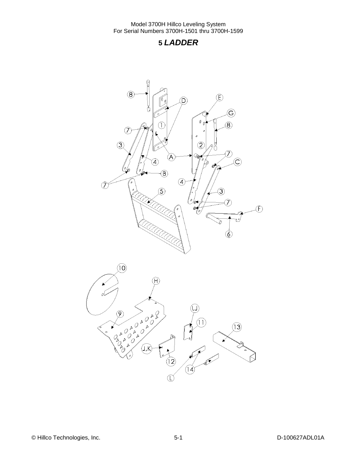### <span id="page-17-0"></span>**5** *LADDER*



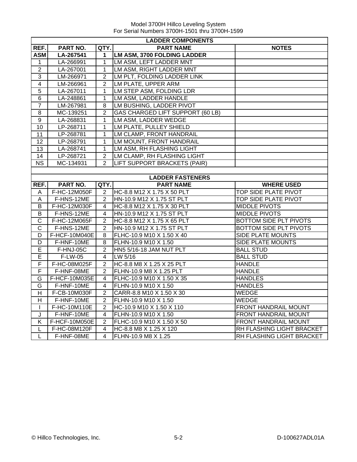|                         | <b>LADDER COMPONENTS</b> |                         |                                    |                             |
|-------------------------|--------------------------|-------------------------|------------------------------------|-----------------------------|
| REF.                    | PART NO.                 | QTY.                    | <b>PART NAME</b>                   | <b>NOTES</b>                |
| <b>ASM</b>              | LA-267541                | 1                       | <b>LM ASM, 3700 FOLDING LADDER</b> |                             |
| $\mathbf{1}$            | LA-266991                | $\mathbf{1}$            | LM ASM, LEFT LADDER MNT            |                             |
| $\boldsymbol{2}$        | LA-267001                | 1                       | LM ASM, RIGHT LADDER MNT           |                             |
| $\overline{3}$          | LM-266971                | $\overline{2}$          | LM PLT, FOLDING LADDER LINK        |                             |
| $\overline{4}$          | LM-266961                | $\overline{2}$          | LM PLATE, UPPER ARM                |                             |
| 5                       | LA-267011                | $\mathbf{1}$            | LM STEP ASM, FOLDING LDR           |                             |
| $\overline{6}$          | LA-248861                | 1                       | LM ASM, LADDER HANDLE              |                             |
| $\overline{7}$          | LM-267981                | 8                       | LM BUSHING, LADDER PIVOT           |                             |
| 8                       | MC-139251                | $\overline{2}$          | GAS CHARGED LIFT SUPPORT (60 LB)   |                             |
| $\overline{9}$          | LA-268831                | $\mathbf{1}$            | LM ASM, LADDER WEDGE               |                             |
| 10                      | LP-268711                | $\mathbf 1$             | LM PLATE, PULLEY SHIELD            |                             |
| 11                      | LP-268781                | 1                       | LM CLAMP, FRONT HANDRAIL           |                             |
| 12                      | LP-268791                | $\mathbf{1}$            | LM MOUNT, FRONT HANDRAIL           |                             |
| $\overline{13}$         | LA-268741                | $\mathbf{1}$            | <b>LM ASM, RH FLASHING LIGHT</b>   |                             |
| 14                      | LP-268721                | $\overline{2}$          | LM CLAMP, RH FLASHING LIGHT        |                             |
| $\overline{\text{NS}}$  | MC-134931                | $\overline{2}$          | LIFT SUPPORT BRACKETS (PAIR)       |                             |
|                         |                          |                         |                                    |                             |
|                         |                          |                         | <b>LADDER FASTENERS</b>            |                             |
| REF.                    | PART NO.                 | QTY.                    | <b>PART NAME</b>                   | <b>WHERE USED</b>           |
| Α                       | F-HC-12M050F             | 2                       | HC-8.8 M12 X 1.75 X 50 PLT         | <b>TOP SIDE PLATE PIVOT</b> |
| A                       | F-HNS-12ME               | $\overline{2}$          | HN-10.9 M12 X 1.75 ST PLT          | TOP SIDE PLATE PIVOT        |
| В                       | F-HC-12M030F             | 4                       | HC-8.8 M12 X 1.75 X 30 PLT         | <b>MIDDLE PIVOTS</b>        |
| $\overline{B}$          | F-HNS-12ME               | 4                       | HN-10.9 M12 X 1.75 ST PLT          | <b>MIDDLE PIVOTS</b>        |
| $\mathsf{C}$            | F-HC-12M065F             | $\overline{2}$          | HC-8.8 M12 X 1.75 X 65 PLT         | BOTTOM SIDE PLT PIVOTS      |
| $\overline{\text{c}}$   | F-HNS-12ME               | $\overline{2}$          | HN-10.9 M12 X 1.75 ST PLT          | BOTTOM SIDE PLT PIVOTS      |
| D                       | F-HCF-10M040E            | 8                       | FLHC-10.9 M10 X 1.50 X 40          | SIDE PLATE MOUNTS           |
| $\overline{\mathsf{D}}$ | F-HNF-10ME               | 8                       | FLHN-10.9 M10 X 1.50               | <b>SIDE PLATE MOUNTS</b>    |
| E                       | F-HNJ-05C                | $\overline{2}$          | HN5 5/16-18 JAM NUT PLT            | <b>BALL STUD</b>            |
| E                       | F-LW-05                  | 4                       | LW 5/16                            | <b>BALL STUD</b>            |
| F                       | F-HC-08M025F             | $\overline{2}$          | HC-8.8 M8 X 1.25 X 25 PLT          | <b>HANDLE</b>               |
| $\overline{F}$          | F-HNF-08ME               | $\overline{2}$          | FLHN-10.9 M8 X 1.25 PLT            | <b>HANDLE</b>               |
| G                       | F-HCF-10M035E            | $\overline{\mathbf{4}}$ | FLHC-10.9 M10 X 1.50 X 35          | <b>HANDLES</b>              |
| G                       | F-HNF-10ME               | 4                       | FLHN-10.9 M10 X 1.50               | <b>HANDLES</b>              |
| H                       | F-CB-10M030F             | $\overline{2}$          | CARR-8.8 M10 X 1.50 X 30           | <b>WEDGE</b>                |
| H                       | F-HNF-10ME               | $\overline{2}$          | FLHN-10.9 M10 X 1.50               | WEDGE                       |
| $\mathbf{I}$            | F-HC-10M110E             | $\overline{2}$          | HC-10.9 M10 X 1.50 X 110           | <b>FRONT HANDRAIL MOUNT</b> |
| J                       | F-HNF-10ME               | 4                       | FLHN-10.9 M10 X 1.50               | FRONT HANDRAIL MOUNT        |
| Κ                       | F-HCF-10M050E            | $\overline{2}$          | FLHC-10.9 M10 X 1.50 X 50          | FRONT HANDRAIL MOUNT        |
| L                       | F-HC-08M120F             | 4                       | HC-8.8 M8 X 1.25 X 120             | RH FLASHING LIGHT BRACKET   |
| L                       | F-HNF-08ME               | 4                       | FLHN-10.9 M8 X 1.25                | RH FLASHING LIGHT BRACKET   |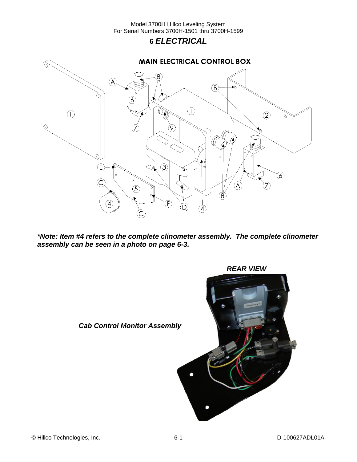### **6** *ELECTRICAL*

<span id="page-19-0"></span>

*\*Note: Item #4 refers to the complete clinometer assembly. The complete clinometer assembly can be seen in a photo on page 6-3.*



*REAR VIEW*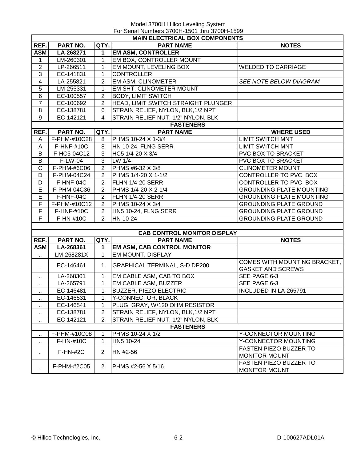<span id="page-20-0"></span>

|                         | <b>MAIN ELECTRICAL BOX COMPONENTS</b> |                                     |                                      |                                 |  |  |  |
|-------------------------|---------------------------------------|-------------------------------------|--------------------------------------|---------------------------------|--|--|--|
| REF.                    | PART NO.                              | QTY.                                | <b>PART NAME</b>                     | <b>NOTES</b>                    |  |  |  |
| <b>ASM</b>              | LA-268271                             | $\mathbf 1$                         | <b>EM ASM, CONTROLLER</b>            |                                 |  |  |  |
| 1                       | LM-260301                             | 1                                   | EM BOX, CONTROLLER MOUNT             |                                 |  |  |  |
| $\overline{c}$          | LP-266511                             | 1                                   | EM MOUNT, LEVELING BOX               | <b>WELDED TO CARRIAGE</b>       |  |  |  |
| $\overline{3}$          | EC-141831                             | 1                                   | <b>CONTROLLER</b>                    |                                 |  |  |  |
| $\overline{\mathbf{4}}$ | LA-255821                             | $\overline{2}$                      | <b>EM ASM, CLINOMETER</b>            | SEE NOTE BELOW DIAGRAM          |  |  |  |
| $\overline{5}$          | LM-255331                             | 1                                   | EM SHT, CLINOMETER MOUNT             |                                 |  |  |  |
| $\overline{6}$          | EC-100557                             | $\overline{2}$                      | <b>BODY, LIMIT SWITCH</b>            |                                 |  |  |  |
| $\overline{7}$          | EC-100692                             | $\overline{2}$                      | HEAD, LIMIT SWITCH STRAIGHT PLUNGER  |                                 |  |  |  |
| 8                       | EC-138781                             | 6                                   | STRAIN RELIEF, NYLON, BLK, 1/2 NPT   |                                 |  |  |  |
| 9                       | EC-142121                             | $\overline{4}$                      | STRAIN RELIEF NUT, 1/2" NYLON, BLK   |                                 |  |  |  |
|                         |                                       |                                     | <b>FASTENERS</b>                     |                                 |  |  |  |
| REF.                    | PART NO.                              | QTY.                                | <b>PART NAME</b>                     | <b>WHERE USED</b>               |  |  |  |
| A                       | F-PHM-#10C28                          | 8                                   | PHMS 10-24 X 1-3/4                   | <b>LIMIT SWITCH MNT</b>         |  |  |  |
| A                       | F-HNF-#10C                            | 8                                   | HN 10-24, FLNG SERR                  | <b>LIMIT SWITCH MNT</b>         |  |  |  |
| B                       | F-HC5-04C12                           | 3                                   | HC5 1/4-20 X 3/4                     | PVC BOX TO BRACKET              |  |  |  |
| B                       | F-LW-04                               | 3                                   | LW 1/4                               | PVC BOX TO BRACKET              |  |  |  |
| $\overline{C}$          | F-PHM-#6C06                           | $\mathbf{2}$                        | PHMS #6-32 X 3/8                     | <b>CLINOMETER MOUNT</b>         |  |  |  |
| D                       | F-PHM-04C24                           | 2                                   | PHMS 1/4-20 X 1-1/2                  | CONTROLLER TO PVC BOX           |  |  |  |
| D                       | F-HNF-04C                             | $\overline{2}$                      | FLHN 1/4-20 SERR.                    | CONTROLLER TO PVC BOX           |  |  |  |
| E                       | F-PHM-04C36                           | 2                                   | PHMS 1/4-20 X 2-1/4                  | <b>GROUNDING PLATE MOUNTING</b> |  |  |  |
| E                       | F-HNF-04C                             | $\overline{2}$                      | FLHN 1/4-20 SERR.                    | <b>GROUNDING PLATE MOUNTING</b> |  |  |  |
| F                       | F-PHM-#10C12                          | $\overline{2}$                      | PHMS 10-24 X 3/4                     | <b>GROUNDING PLATE GROUND</b>   |  |  |  |
| F                       | <b>F-HNF-#10C</b>                     | $\overline{2}$                      | HN5 10-24, FLNG SERR                 | <b>GROUNDING PLATE GROUND</b>   |  |  |  |
| F                       | F-HN-#10C                             | $\overline{2}$                      | HN 10-24                             | <b>GROUNDING PLATE GROUND</b>   |  |  |  |
|                         |                                       |                                     |                                      |                                 |  |  |  |
|                         |                                       |                                     | <b>CAB CONTROL MONITOR DISPLAY</b>   |                                 |  |  |  |
| REF.                    | <b>PART NO.</b>                       | QTY.                                | <b>PART NAME</b>                     | <b>NOTES</b>                    |  |  |  |
| <b>ASM</b>              | LA-268361                             | $\mathbf{1}$                        | <b>EM ASM, CAB CONTROL MONITOR</b>   |                                 |  |  |  |
| $\ddot{\phantom{1}}$    | LM-268281X                            | $\mathbf 1$                         | EM MOUNT, DISPLAY                    |                                 |  |  |  |
| $\sim$                  | EC-146461                             | $\mathbf 1$                         | <b>GRAPHICAL TERMINAL, S-D DP200</b> | COMES WITH MOUNTING BRACKET,    |  |  |  |
|                         |                                       |                                     |                                      | <b>GASKET AND SCREWS</b>        |  |  |  |
| $\ddot{\phantom{1}}$    | LA-268301                             | 1                                   | EM CABLE ASM, CAB TO BOX             | SEE PAGE 6-3                    |  |  |  |
| $\cdot$ .               | LA-265791                             | 1                                   | EM CABLE ASM, BUZZER                 | SEE PAGE 6-3                    |  |  |  |
| $\ddotsc$               | EC-146481                             | 1                                   | <b>BUZZER, PIEZO ELECTRIC</b>        | INCLUDED IN LA-265791           |  |  |  |
| $\ddot{\phantom{a}}$    | EC-146531                             | 1                                   | Y-CONNECTOR, BLACK                   |                                 |  |  |  |
| ٠.                      | EC-146541                             | 1                                   | PLUG, GRAY, W/120 OHM RESISTOR       |                                 |  |  |  |
| ٠.                      | EC-138781                             | $\overline{2}$                      | STRAIN RELIEF, NYLON, BLK, 1/2 NPT   |                                 |  |  |  |
|                         | EC-142121                             | $\overline{2}$                      | STRAIN RELIEF NUT, 1/2" NYLON, BLK   |                                 |  |  |  |
|                         |                                       |                                     | <b>FASTENERS</b>                     |                                 |  |  |  |
|                         | F-PHM-#10C08                          | 1                                   | PHMS 10-24 X 1/2                     | Y-CONNECTOR MOUNTING            |  |  |  |
| ٠.                      | $F-HN-#10C$                           | $\mathbf 1$                         | HN5 10-24                            | Y-CONNECTOR MOUNTING            |  |  |  |
| $\cdot$ .               | $F-HN-#2C$                            | $\overline{2}$                      | HN #2-56                             | <b>FASTEN PIEZO BUZZER TO</b>   |  |  |  |
|                         |                                       |                                     |                                      | <b>MONITOR MOUNT</b>            |  |  |  |
|                         | F-PHM-#2C05                           | $\overline{2}$<br>PHMS #2-56 X 5/16 | FASTEN PIEZO BUZZER TO               |                                 |  |  |  |
|                         |                                       |                                     |                                      | <b>MONITOR MOUNT</b>            |  |  |  |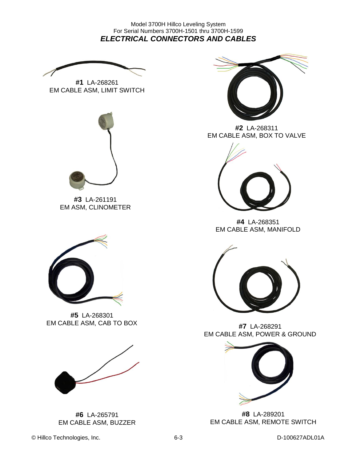Model 3700H Hillco Leveling System For Serial Numbers 3700H-1501 thru 3700H-1599 *ELECTRICAL CONNECTORS AND CABLES*

**#1** LA-268261 EM CABLE ASM, LIMIT SWITCH



**#3** LA-261191 EM ASM, CLINOMETER



**#5** LA-268301 EM CABLE ASM, CAB TO BOX



**#6** LA-265791 EM CABLE ASM, BUZZER



**#2** LA-268311 EM CABLE ASM, BOX TO VALVE



**#4** LA-268351 EM CABLE ASM, MANIFOLD



**#7** LA-268291 EM CABLE ASM, POWER & GROUND



**#8** LA-289201 EM CABLE ASM, REMOTE SWITCH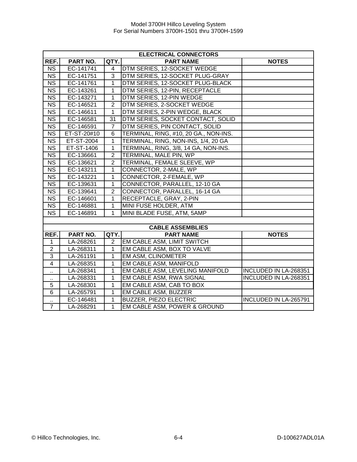|                        | <b>ELECTRICAL CONNECTORS</b> |                 |                                       |                       |  |  |
|------------------------|------------------------------|-----------------|---------------------------------------|-----------------------|--|--|
| REF.                   | PART NO.                     | QTY.            | <b>PART NAME</b>                      | <b>NOTES</b>          |  |  |
| <b>NS</b>              | EC-141741                    | $\overline{4}$  | DTM SERIES, 12-SOCKET WEDGE           |                       |  |  |
| $\overline{\text{NS}}$ | EC-141751                    | 3               | DTM SERIES, 12-SOCKET PLUG-GRAY       |                       |  |  |
| <b>NS</b>              | EC-141761                    | $\mathbf{1}$    | DTM SERIES, 12-SOCKET PLUG-BLACK      |                       |  |  |
| <b>NS</b>              | EC-143261                    | $\mathbf{1}$    | DTM SERIES, 12-PIN, RECEPTACLE        |                       |  |  |
| <b>NS</b>              | EC-143271                    | $\mathbf{1}$    | DTM SERIES, 12-PIN WEDGE              |                       |  |  |
| $\overline{\text{NS}}$ | EC-146521                    | $\overline{2}$  | DTM SERIES, 2-SOCKET WEDGE            |                       |  |  |
| <b>NS</b>              | EC-146611                    | $\mathbf{1}$    | DTM SERIES, 2-PIN WEDGE, BLACK        |                       |  |  |
| NS                     | EC-146581                    | $\overline{31}$ | DTM SERIES, SOCKET CONTACT, SOLID     |                       |  |  |
| $\overline{\text{NS}}$ | EC-146591                    | $\overline{7}$  | DTM SERIES, PIN CONTACT, SOLID        |                       |  |  |
| $\overline{\text{NS}}$ | ET-ST-20#10                  | 6               | TERMINAL, RING, #10, 20 GA., NON-INS. |                       |  |  |
| $\overline{\text{NS}}$ | ET-ST-2004                   | 1               | TERMINAL, RING, NON-INS, 1/4, 20 GA   |                       |  |  |
| $\overline{\text{NS}}$ | ET-ST-1406                   | $\mathbf{1}$    | TERMINAL, RING, 3/8, 14 GA, NON-INS.  |                       |  |  |
| $\overline{\text{NS}}$ | EC-136661                    | $\overline{2}$  | TERMINAL, MALE PIN, WP                |                       |  |  |
| $\overline{\text{NS}}$ | EC-136621                    | $\overline{2}$  | TERMINAL, FEMALE SLEEVE, WP           |                       |  |  |
| $\overline{\text{NS}}$ | EC-143211                    | 1               | CONNECTOR, 2-MALE, WP                 |                       |  |  |
| $\overline{\text{NS}}$ | EC-143221                    | $\mathbf{1}$    | CONNECTOR, 2-FEMALE, WP               |                       |  |  |
| <b>NS</b>              | EC-139631                    | $\mathbf{1}$    | CONNECTOR, PARALLEL, 12-10 GA         |                       |  |  |
| <b>NS</b>              | EC-139641                    | $\overline{2}$  | CONNECTOR, PARALLEL, 16-14 GA         |                       |  |  |
| <b>NS</b>              | EC-146601                    | $\mathbf{1}$    | RECEPTACLE, GRAY, 2-PIN               |                       |  |  |
| <b>NS</b>              | EC-146881                    | $\mathbf{1}$    | MINI FUSE HOLDER, ATM                 |                       |  |  |
| <b>NS</b>              | EC-146891                    | $\mathbf{1}$    | MINI BLADE FUSE, ATM, 5AMP            |                       |  |  |
|                        |                              |                 |                                       |                       |  |  |
|                        |                              |                 | <b>CABLE ASSEMBLIES</b>               |                       |  |  |
| REF.                   | PART NO.                     | QTY.            | <b>PART NAME</b>                      | <b>NOTES</b>          |  |  |
| $\mathbf{1}$           | LA-268261                    | 2               | EM CABLE ASM, LIMIT SWITCH            |                       |  |  |
| $\boldsymbol{2}$       | LA-268311                    | 1               | EM CABLE ASM, BOX TO VALVE            |                       |  |  |
| $\overline{3}$         | LA-261191                    | 1               | <b>EM ASM, CLINOMETER</b>             |                       |  |  |
| $\overline{4}$         | LA-268351                    | $\mathbf{1}$    | EM CABLE ASM, MANIFOLD                |                       |  |  |
| ٠.                     | LA-268341                    | 1               | EM CABLE ASM, LEVELING MANIFOLD       | INCLUDED IN LA-268351 |  |  |
| Ω,                     | LA-268331                    | 1               | EM CABLE ASM, RWA SIGNAL              | INCLUDED IN LA-268351 |  |  |
| 5                      | LA-268301                    | 1               | EM CABLE ASM, CAB TO BOX              |                       |  |  |
| 6                      | LA-265791                    | $\mathbf{1}$    | EM CABLE ASM, BUZZER                  |                       |  |  |
| $\ddot{\phantom{1}}$   | EC-146481                    | $\mathbf{1}$    | <b>BUZZER, PIEZO ELECTRIC</b>         | INCLUDED IN LA-265791 |  |  |
| $\overline{7}$         | LA-268291                    | $\mathbf{1}$    | EM CABLE ASM, POWER & GROUND          |                       |  |  |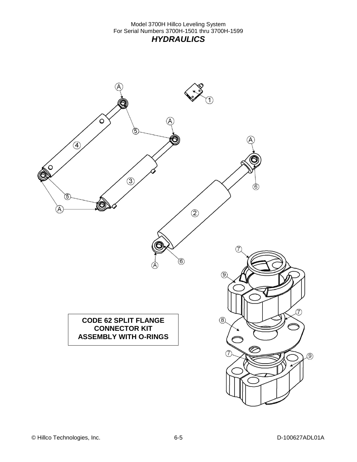<span id="page-23-0"></span>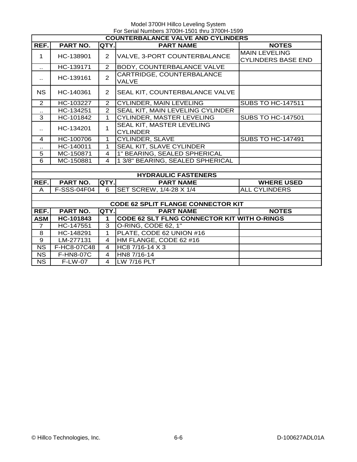| <b>COUNTERBALANCE VALVE AND CYLINDERS</b> |                 |                         |                                                    |                                                   |  |  |  |
|-------------------------------------------|-----------------|-------------------------|----------------------------------------------------|---------------------------------------------------|--|--|--|
| REF.                                      | <b>PART NO.</b> | QTY.                    | <b>PART NAME</b>                                   | <b>NOTES</b>                                      |  |  |  |
| $\mathbf 1$                               | HC-138901       | $\overline{2}$          | VALVE, 3-PORT COUNTERBALANCE                       | <b>MAIN LEVELING</b><br><b>CYLINDERS BASE END</b> |  |  |  |
| $\sim$                                    | HC-139171       | $\overline{2}$          | BODY, COUNTERBALANCE VALVE                         |                                                   |  |  |  |
| $\ddotsc$                                 | HC-139161       | $\overline{2}$          | CARTRIDGE, COUNTERBALANCE<br><b>VALVE</b>          |                                                   |  |  |  |
| <b>NS</b>                                 | HC-140361       | $\overline{2}$          | SEAL KIT, COUNTERBALANCE VALVE                     |                                                   |  |  |  |
| 2                                         | HC-103227       | 2                       | <b>CYLINDER, MAIN LEVELING</b>                     | <b>SUBS TO HC-147511</b>                          |  |  |  |
| $\ddotsc$                                 | HC-134251       | $\overline{2}$          | SEAL KIT, MAIN LEVELING CYLINDER                   |                                                   |  |  |  |
| $\overline{3}$                            | HC-101842       | $\overline{1}$          | <b>CYLINDER, MASTER LEVELING</b>                   | <b>SUBS TO HC-147501</b>                          |  |  |  |
| $\ddot{\phantom{a}}$                      | HC-134201       | $\mathbf{1}$            | SEAL KIT, MASTER LEVELING<br><b>CYLINDER</b>       |                                                   |  |  |  |
| 4                                         | HC-100706       | $\overline{1}$          | <b>CYLINDER, SLAVE</b>                             | <b>SUBS TO HC-147491</b>                          |  |  |  |
|                                           | HC-140011       | 1                       | SEAL KIT, SLAVE CYLINDER                           |                                                   |  |  |  |
| 5                                         | MC-150871       | $\overline{4}$          | 1" BEARING, SEALED SPHERICAL                       |                                                   |  |  |  |
| 6                                         | MC-150881       | $\overline{\mathbf{4}}$ | 1 3/8" BEARING, SEALED SPHERICAL                   |                                                   |  |  |  |
|                                           |                 |                         |                                                    |                                                   |  |  |  |
|                                           |                 |                         | <b>HYDRAULIC FASTENERS</b>                         |                                                   |  |  |  |
| REF.                                      | <b>PART NO.</b> | QTY.                    | <b>PART NAME</b>                                   | <b>WHERE USED</b>                                 |  |  |  |
| A                                         | F-SSS-04F04     | 6                       | SET SCREW, 1/4-28 X 1/4                            | <b>ALL CYLINDERS</b>                              |  |  |  |
|                                           |                 |                         |                                                    |                                                   |  |  |  |
| <b>CODE 62 SPLIT FLANGE CONNECTOR KIT</b> |                 |                         |                                                    |                                                   |  |  |  |
| REF.                                      | PART NO.        | QTY.                    | <b>PART NAME</b>                                   | <b>NOTES</b>                                      |  |  |  |
| <b>ASM</b>                                | HC-101843       | $\mathbf 1$             | <b>CODE 62 SLT FLNG CONNECTOR KIT WITH O-RINGS</b> |                                                   |  |  |  |
| $\overline{7}$                            | HC-147551       | $\overline{3}$          | O-RING, CODE 62, 1"                                |                                                   |  |  |  |
| 8                                         | HC-148291       | 1                       | PLATE, CODE 62 UNION #16                           |                                                   |  |  |  |
| $\overline{9}$                            | LM-277131       | $\overline{4}$          | HM FLANGE, CODE 62 #16                             |                                                   |  |  |  |
| $\overline{\text{NS}}$                    | F-HC8-07C48     | $\overline{4}$          | HC8 7/16-14 X 3                                    |                                                   |  |  |  |
| N <sub>S</sub>                            | F-HN8-07C       | $\overline{\mathbf{4}}$ | HN8 7/16-14                                        |                                                   |  |  |  |
| $\overline{\text{NS}}$                    | F-LW-07         | $\overline{4}$          | <b>LW 7/16 PLT</b>                                 |                                                   |  |  |  |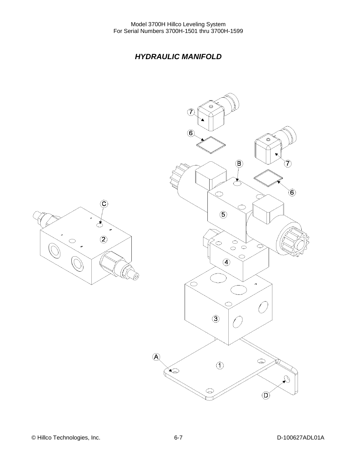### *HYDRAULIC MANIFOLD*

<span id="page-25-0"></span>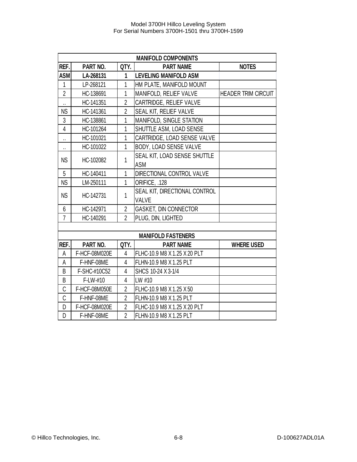| <b>MANIFOLD COMPONENTS</b> |                                                      |                |                                  |                            |  |  |
|----------------------------|------------------------------------------------------|----------------|----------------------------------|----------------------------|--|--|
| REF.                       | QTY.<br><b>PART NAME</b><br><b>NOTES</b><br>PART NO. |                |                                  |                            |  |  |
| <b>ASM</b>                 | LA-268131                                            | 1              | <b>LEVELING MANIFOLD ASM</b>     |                            |  |  |
| 1                          | LP-268121                                            | 1              | HM PLATE, MANIFOLD MOUNT         |                            |  |  |
| $\overline{2}$             | HC-138691                                            | 1              | MANIFOLD, RELIEF VALVE           | <b>HEADER TRIM CIRCUIT</b> |  |  |
| $\ddot{\phantom{1}}$       | HC-141351                                            | $\overline{2}$ | CARTRIDGE, RELIEF VALVE          |                            |  |  |
| <b>NS</b>                  | HC-141361                                            | $\overline{2}$ | SEAL KIT, RELIEF VALVE           |                            |  |  |
| 3                          | HC-138861                                            | 1              | MANIFOLD, SINGLE STATION         |                            |  |  |
| 4                          | HC-101264                                            | 1              | SHUTTLE ASM, LOAD SENSE          |                            |  |  |
| .,                         | HC-101021                                            |                | CARTRIDGE, LOAD SENSE VALVE      |                            |  |  |
| $\ddot{\phantom{0}}$       | HC-101022                                            | 1              | BODY, LOAD SENSE VALVE           |                            |  |  |
| <b>NS</b>                  | HC-102082                                            | 1              | SEAL KIT, LOAD SENSE SHUTTLE     |                            |  |  |
|                            |                                                      |                | <b>ASM</b>                       |                            |  |  |
| 5                          | HC-140411                                            | 1              | <b>DIRECTIONAL CONTROL VALVE</b> |                            |  |  |
| <b>NS</b>                  | LM-250111                                            | 1              | ORIFICE, .128                    |                            |  |  |
| <b>NS</b>                  |                                                      | 1              | SEAL KIT, DIRECTIONAL CONTROL    |                            |  |  |
|                            | HC-142731                                            |                | <b>VALVE</b>                     |                            |  |  |
| 6                          | HC-142971                                            | $\overline{2}$ | <b>GASKET, DIN CONNECTOR</b>     |                            |  |  |
| $\overline{7}$             | HC-140291                                            | $\overline{2}$ | PLUG, DIN, LIGHTED               |                            |  |  |
|                            |                                                      |                |                                  |                            |  |  |
| <b>MANIFOLD FASTENERS</b>  |                                                      |                |                                  |                            |  |  |
| REF.I                      | PART NO.                                             | QTY.           | <b>PART NAME</b>                 | <b>WHERE USED</b>          |  |  |
| А                          | F-HCF-08M020E                                        | 4              | FLHC-10.9 M8 X 1.25 X 20 PLT     |                            |  |  |
| А                          | F-HNF-08ME                                           | 4              | FLHN-10.9 M8 X 1.25 PLT          |                            |  |  |
| B                          | F-SHC-#10C52                                         | $\overline{4}$ | SHCS 10-24 X 3-1/4               |                            |  |  |
| B                          | F-LW-#10                                             | $\overline{4}$ | LW #10                           |                            |  |  |
| C                          | F-HCF-08M050E                                        | $\overline{2}$ | FLHC-10.9 M8 X 1.25 X 50         |                            |  |  |
| C                          | F-HNF-08ME                                           | $\overline{2}$ | FLHN-10.9 M8 X 1.25 PLT          |                            |  |  |
| D                          | F-HCF-08M020E                                        | $\overline{2}$ | FLHC-10.9 M8 X 1.25 X 20 PLT     |                            |  |  |
| D                          | F-HNF-08ME                                           | $\overline{2}$ | FLHN-10.9 M8 X 1.25 PLT          |                            |  |  |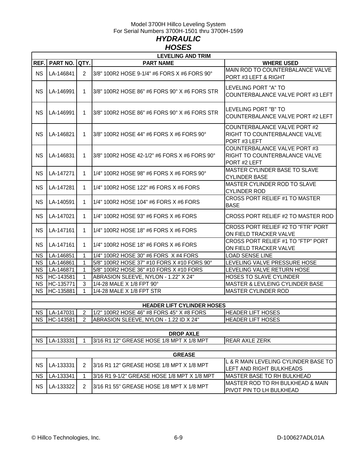### Model 3700H Hillco Leveling System For Serial Numbers 3700H-1501 thru 3700H-1599 *HYDRAULIC HOSES*

<span id="page-27-1"></span><span id="page-27-0"></span>

| <b>LEVELING AND TRIM</b>          |                 |                         |                                               |                                                                                      |  |  |
|-----------------------------------|-----------------|-------------------------|-----------------------------------------------|--------------------------------------------------------------------------------------|--|--|
| REF.                              | <b>PART NO.</b> | QTY.                    | <b>PART NAME</b>                              | <b>WHERE USED</b>                                                                    |  |  |
| <b>NS</b>                         | LA-146841       | $\overline{2}$          | 3/8" 100R2 HOSE 9-1/4" #6 FORS X #6 FORS 90°  | MAIN ROD TO COUNTERBALANCE VALVE<br>PORT #3 LEFT & RIGHT                             |  |  |
| <b>NS</b>                         | LA-146991       | 1.                      | 3/8" 100R2 HOSE 86" #6 FORS 90° X #6 FORS STR | LEVELING PORT "A" TO<br>COUNTERBALANCE VALVE PORT #3 LEFT                            |  |  |
| <b>NS</b>                         | LA-146991       | 1.                      | 3/8" 100R2 HOSE 86" #6 FORS 90° X #6 FORS STR | LEVELING PORT "B" TO<br>COUNTERBALANCE VALVE PORT #2 LEFT                            |  |  |
| <b>NS</b>                         | LA-146821       | 1.                      | 3/8" 100R2 HOSE 44" #6 FORS X #6 FORS 90°     | <b>COUNTERBALANCE VALVE PORT #2</b><br>RIGHT TO COUNTERBALANCE VALVE<br>PORT #3 LEFT |  |  |
| <b>NS</b>                         | LA-146831       | 1.                      | 3/8" 100R2 HOSE 42-1/2" #6 FORS X #6 FORS 90° | COUNTERBALANCE VALVE PORT #3<br>RIGHT TO COUNTERBALANCE VALVE<br>PORT#2 LEFT         |  |  |
| <b>NS</b>                         | LA-147271       | 1.                      | 1/4" 100R2 HOSE 98" #6 FORS X #6 FORS 90°     | <b>MASTER CYLINDER BASE TO SLAVE</b><br><b>CYLINDER BASE</b>                         |  |  |
| ΝS                                | LA-147281       | 1.                      | 1/4" 100R2 HOSE 122" #6 FORS X #6 FORS        | MASTER CYLINDER ROD TO SLAVE<br><b>CYLINDER ROD</b>                                  |  |  |
| ΝS                                | LA-140591       | 1.                      | 1/4" 100R2 HOSE 104" #6 FORS X #6 FORS        | CROSS PORT RELIEF #1 TO MASTER<br><b>BASE</b>                                        |  |  |
| <b>NS</b>                         | LA-147021       | 1.                      | 1/4" 100R2 HOSE 93" #6 FORS X #6 FORS         | CROSS PORT RELIEF #2 TO MASTER ROD                                                   |  |  |
| <b>NS</b>                         | LA-147161       | 1.                      | 1/4" 100R2 HOSE 18" #6 FORS X #6 FORS         | CROSS PORT RELIEF #2 TO "FTR" PORT<br>ON FIELD TRACKER VALVE                         |  |  |
| ΝS                                | LA-147161       | 1.                      | 1/4" 100R2 HOSE 18" #6 FORS X #6 FORS         | CROSS PORT RELIEF #1 TO "FTP" PORT<br>ON FIELD TRACKER VALVE                         |  |  |
| <b>NS</b>                         | LA-146851       | 1                       | 1/4" 100R2 HOSE 30" #6 FORS X #4 FORS         | <b>LOAD SENSE LINE</b>                                                               |  |  |
| <b>NS</b>                         | LA-146861       | 1                       | 5/8" 100R2 HOSE 37" #10 FORS X #10 FORS 90°   | LEVELING VALVE PRESSURE HOSE                                                         |  |  |
| <b>NS</b>                         | LA-146871       | 1                       | 5/8" 100R2 HOSE 36" #10 FORS X #10 FORS       | LEVELING VALVE RETURN HOSE                                                           |  |  |
| <b>NS</b>                         | HC-143581       | 1                       | ABRASION SLEEVE, NYLON - 1.22" X 24"          | HOSES TO SLAVE CYLINDER                                                              |  |  |
| <b>NS</b>                         | HC-135771       | 3                       | 1/4-28 MALE X 1/8 FPT 90°                     | MASTER & LEVLEING CYLINDER BASE                                                      |  |  |
| <b>NS</b>                         | HC-135881       | 1                       | 1/4-28 MALE X 1/8 FPT STR                     | <b>MASTER CYLINDER ROD</b>                                                           |  |  |
|                                   |                 |                         |                                               |                                                                                      |  |  |
| <b>HEADER LIFT CYLINDER HOSES</b> |                 |                         |                                               |                                                                                      |  |  |
|                                   | NS LA-147031    | $\overline{\mathbf{c}}$ | 1/2" 100R2 HOSE 46" #8 FORS 45° X #8 FORS     | <b>HEADER LIFT HOSES</b>                                                             |  |  |
| <b>NS</b>                         | HC-143581       | 2                       | ABRASION SLEEVE, NYLON - 1.22 ID X 24"        | <b>HEADER LIFT HOSES</b>                                                             |  |  |
| <b>DROP AXLE</b>                  |                 |                         |                                               |                                                                                      |  |  |
| <b>NS</b>                         | LA-133331       |                         | 3/16 R1 12" GREASE HOSE 1/8 MPT X 1/8 MPT     | REAR AXLE ZERK                                                                       |  |  |
|                                   |                 |                         |                                               |                                                                                      |  |  |
| <b>GREASE</b>                     |                 |                         |                                               |                                                                                      |  |  |
| <b>NS</b>                         | LA-133331       | $\overline{2}$          | 3/16 R1 12" GREASE HOSE 1/8 MPT X 1/8 MPT     | L & R MAIN LEVELING CYLINDER BASE TO<br>LEFT AND RIGHT BULKHEADS                     |  |  |
| <b>NS</b>                         | LA-133341       |                         | 3/16 R1 9-1/2" GREASE HOSE 1/8 MPT X 1/8 MPT  | MASTER BASE TO RH BULKHEAD                                                           |  |  |
| <b>NS</b>                         | LA-133322       | $\overline{2}$          | 3/16 R1 55" GREASE HOSE 1/8 MPT X 1/8 MPT     | MASTER ROD TO RH BULKHEAD & MAIN<br>PIVOT PIN TO LH BULKHEAD                         |  |  |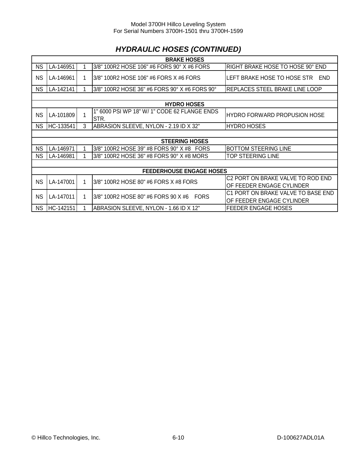# *HYDRAULIC HOSES (CONTINUED)*

| <b>BRAKE HOSES</b>              |           |   |                                                      |                                                                 |  |
|---------------------------------|-----------|---|------------------------------------------------------|-----------------------------------------------------------------|--|
| <b>NS</b>                       | LA-146951 |   | 3/8" 100R2 HOSE 106" #6 FORS 90° X #6 FORS           | RIGHT BRAKE HOSE TO HOSE 90° END                                |  |
| <b>NS</b>                       | LA-146961 |   | 3/8" 100R2 HOSE 106" #6 FORS X #6 FORS               | LEFT BRAKE HOSE TO HOSE STR<br><b>END</b>                       |  |
| <b>NS</b>                       | LA-142141 |   | 13/8" 100R2 HOSE 36" #6 FORS 90° X #6 FORS 90°       | REPLACES STEEL BRAKE LINE LOOP                                  |  |
|                                 |           |   |                                                      |                                                                 |  |
|                                 |           |   | <b>HYDRO HOSES</b>                                   |                                                                 |  |
| <b>NS</b>                       | LA-101809 |   | 1" 6000 PSI WP 18" W/ 1" CODE 62 FLANGE ENDS<br>STR. | <b>HYDRO FORWARD PROPUSION HOSE</b>                             |  |
| <b>NS</b>                       | HC-133541 | 3 | ABRASION SLEEVE, NYLON - 2.19 ID X 32"               | <b>HYDRO HOSES</b>                                              |  |
|                                 |           |   |                                                      |                                                                 |  |
|                                 |           |   | <b>STEERING HOSES</b>                                |                                                                 |  |
| <b>NS</b>                       | LA-146971 |   | 3/8" 100R2 HOSE 39" #8 FORS 90° X #8 FORS            | <b>BOTTOM STEERING LINE</b>                                     |  |
| <b>NS</b>                       | LA-146981 |   | 3/8" 100R2 HOSE 36" #8 FORS 90° X #8 MORS            | TOP STEERING LINE                                               |  |
|                                 |           |   |                                                      |                                                                 |  |
| <b>FEEDERHOUSE ENGAGE HOSES</b> |           |   |                                                      |                                                                 |  |
| <b>NS</b>                       | LA-147001 |   | 3/8" 100R2 HOSE 80" #6 FORS X #8 FORS                | C2 PORT ON BRAKE VALVE TO ROD END<br>OF FEEDER ENGAGE CYLINDER  |  |
| <b>NS</b>                       | LA-147011 |   | l3/8" 100R2 HOSE 80" #6 FORS 90 X #6<br><b>FORS</b>  | C1 PORT ON BRAKE VALVE TO BASE END<br>OF FEEDER ENGAGE CYLINDER |  |
| <b>NS</b>                       | HC-142151 |   | ABRASION SLEEVE, NYLON - 1.66 ID X 12"               | <b>FEEDER ENGAGE HOSES</b>                                      |  |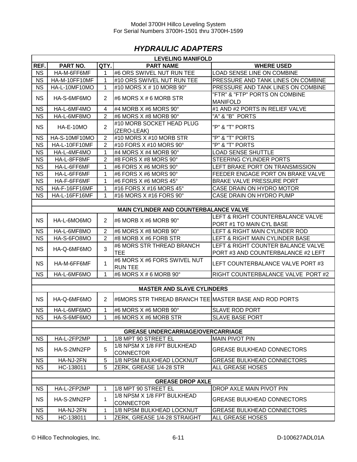### *HYDRAULIC ADAPTERS*

<span id="page-29-0"></span>

| REF.<br>PART NO.<br>QTY.<br><b>PART NAME</b><br><b>WHERE USED</b><br><b>NS</b><br>#6 ORS SWIVEL NUT RUN TEE<br><b>LOAD SENSE LINE ON COMBINE</b><br>HA-M-6FF6MF<br>1<br><b>NS</b><br>PRESSURE AND TANK LINES ON COMBINE<br>HA-M-10FF10MF<br>1<br>#10 ORS SWIVEL NUT RUN TEE<br>NS<br>#10 MORS X # 10 MORB 90°<br>PRESSURE AND TANK LINES ON COMBINE<br>HA-L-10MF10MO<br>1<br>"FTR" & "FTP" PORTS ON COMBINE<br><b>NS</b><br>HA-S-6MF6MO<br>$\overline{2}$<br>#6 MORS $X \# 6$ MORB STR<br><b>MANIFOLD</b><br><b>NS</b><br>#1 AND #2 PORTS IN RELIEF VALVE<br>HA-L-6MF4MO<br>#4 MORB X #6 MORS 90°<br>4<br>"A" & "B" PORTS<br><b>NS</b><br>HA-L-6MF8MO<br>$\overline{2}$<br>#6 MORS X #8 MORB 90°<br>#10 MORB SOCKET HEAD PLUG<br>$\overline{2}$<br>"P" & "T" PORTS<br><b>NS</b><br>HA-E-10MO<br>(ZERO-LEAK)<br>$\overline{2}$<br>"P" & "T" PORTS<br><b>NS</b><br>HA-S-10MF10MO<br>#10 MORS X #10 MORB STR<br><b>NS</b><br>$\overline{2}$<br>"P" & "T" PORTS<br>HA-L-10FF10MF<br>#10 FORS X #10 MORS 90°<br><b>NS</b><br>1<br><b>LOAD SENSE SHUTTLE</b><br>HA-L-4MF4MO<br>#4 MORS X #4 MORB 90°<br><b>NS</b><br>$\overline{c}$<br>STEERING CYLINDER PORTS<br>HA-L-8FF8MF<br>#8 FORS X #8 MORS 90°<br><b>NS</b><br>HA-L-6FF6MF<br>1<br>#6 FORS X #6 MORS 90°<br>LEFT BRAKE PORT ON TRANSMISSION<br><b>NS</b><br>1<br>#6 FORS X #6 MORS 90°<br>FEEDER ENGAGE PORT ON BRAKE VALVE<br>HA-L-6FF6MF<br><b>NS</b><br>HA-F-6FF6MF<br>#6 FORS X #6 MORS 45°<br>BRAKE VALVE PRESSURE PORT<br>1<br><b>NS</b><br>HA-F-16FF16MF<br>#16 FORS X #16 MORS 45°<br>CASE DRAIN ON HYDRO MOTOR<br>1<br><b>NS</b><br>$\mathbf{1}$<br>HA-L-16FF16MF<br>#16 MORS X #16 FORS 90°<br>CASE DRAIN ON HYDRO PUMP<br>MAIN CYLINDER AND COUNTERBALANCE VALVE<br>LEFT & RIGHT COUNTERBALANCE VALVE<br><b>NS</b><br>HA-L-6MO6MO<br>$\overline{2}$<br>#6 MORB X #6 MORB 90°<br>PORT #1 TO MAIN CYL BASE<br>$\overline{2}$<br><b>NS</b><br>HA-L-6MF8MO<br>#6 MORS X #8 MORB 90°<br>LEFT & RIGHT MAIN CYLINDER ROD<br><b>NS</b><br>$\overline{2}$<br>HA-S-6FO8MO<br>#8 MORB X #6 FORB STR<br>LEFT & RIGHT MAIN CYLINDER BASE<br>#6 MORS STR THREAD BRANCH<br>LEFT & RIGHT COUNTER BALANCE VALVE<br>3<br><b>NS</b><br>HA-Q-6MF6MO<br><b>TEE</b><br>PORT #3 AND COUNTERBALANCE #2 LEFT<br>#6 MORS X #6 FORS SWIVEL NUT<br><b>NS</b><br>1<br>LEFT COUNTERBALANCE VALVE PORT #3<br>HA-M-6FF6MF<br><b>RUN TEE</b><br><b>NS</b><br>HA-L-6MF6MO<br>1<br>#6 MORS X # 6 MORB 90°<br>RIGHT COUNTERBALANCE VALVE PORT #2<br><b>MASTER AND SLAVE CYLINDERS</b><br><b>NS</b><br>$\overline{2}$<br>#6MORS STR THREAD BRANCH TEE MASTER BASE AND ROD PORTS<br>HA-Q-6MF6MO<br><b>NS</b><br>HA-L-6MF6MO<br>1<br>#6 MORS X #6 MORB 90°<br><b>SLAVE ROD PORT</b><br>NS.<br>HA-S-6MF6MO<br>1<br>#6 MORS X #6 MORB STR<br><b>SLAVE BASE PORT</b><br><b>GREASE UNDERCARRIAGE/OVERCARRIAGE</b><br><b>NS</b><br>HA-L-2FP2MP<br>1/8 MPT 90 STREET EL<br><b>MAIN PIVOT PIN</b><br>1<br>1/8 NPSM X 1/8 FPT BULKHEAD<br><b>NS</b><br>5<br>HA-S-2MN2FP<br><b>GREASE BULKHEAD CONNECTORS</b><br><b>CONNECTOR</b><br><b>NS</b><br>HA-NJ-2FN<br>5<br>1/8 NPSM BULKHEAD LOCKNUT<br><b>GREASE BULKHEAD CONNECTORS</b><br><b>NS</b><br>5<br>ZERK, GREASE 1/4-28 STR<br>ALL GREASE HOSES<br>HC-138011<br><b>GREASE DROP AXLE</b><br>1/8 MPT 90 STREET EL<br><b>NS</b><br>DROP AXLE MAIN PIVOT PIN<br>HA-L-2FP2MP<br>$\mathbf{1}$<br>1/8 NPSM X 1/8 FPT BULKHEAD<br><b>NS</b><br>$\mathbf{1}$<br>HA-S-2MN2FP<br><b>GREASE BULKHEAD CONNECTORS</b><br><b>CONNECTOR</b><br><b>NS</b><br>HA-NJ-2FN<br>1/8 NPSM BULKHEAD LOCKNUT<br><b>GREASE BULKHEAD CONNECTORS</b><br>$\mathbf{1}$<br><b>NS</b><br>HC-138011<br>ALL GREASE HOSES<br>ZERK, GREASE 1/4-28 STRAIGHT<br>1 | <b>LEVELING MANIFOLD</b> |  |  |  |  |  |  |  |
|---------------------------------------------------------------------------------------------------------------------------------------------------------------------------------------------------------------------------------------------------------------------------------------------------------------------------------------------------------------------------------------------------------------------------------------------------------------------------------------------------------------------------------------------------------------------------------------------------------------------------------------------------------------------------------------------------------------------------------------------------------------------------------------------------------------------------------------------------------------------------------------------------------------------------------------------------------------------------------------------------------------------------------------------------------------------------------------------------------------------------------------------------------------------------------------------------------------------------------------------------------------------------------------------------------------------------------------------------------------------------------------------------------------------------------------------------------------------------------------------------------------------------------------------------------------------------------------------------------------------------------------------------------------------------------------------------------------------------------------------------------------------------------------------------------------------------------------------------------------------------------------------------------------------------------------------------------------------------------------------------------------------------------------------------------------------------------------------------------------------------------------------------------------------------------------------------------------------------------------------------------------------------------------------------------------------------------------------------------------------------------------------------------------------------------------------------------------------------------------------------------------------------------------------------------------------------------------------------------------------------------------------------------------------------------------------------------------------------------------------------------------------------------------------------------------------------------------------------------------------------------------------------------------------------------------------------------------------------------------------------------------------------------------------------------------------------------------------------------------------------------------------------------------------------------------------------------------------------------------------------------------------------------------------------------------------------------------------------------------------------------------------------------------------------------------------------------------------------------------------------------------------------------------------------------------------------------------------------------------------------------------------------------------------------------------------|--------------------------|--|--|--|--|--|--|--|
|                                                                                                                                                                                                                                                                                                                                                                                                                                                                                                                                                                                                                                                                                                                                                                                                                                                                                                                                                                                                                                                                                                                                                                                                                                                                                                                                                                                                                                                                                                                                                                                                                                                                                                                                                                                                                                                                                                                                                                                                                                                                                                                                                                                                                                                                                                                                                                                                                                                                                                                                                                                                                                                                                                                                                                                                                                                                                                                                                                                                                                                                                                                                                                                                                                                                                                                                                                                                                                                                                                                                                                                                                                                                                             |                          |  |  |  |  |  |  |  |
|                                                                                                                                                                                                                                                                                                                                                                                                                                                                                                                                                                                                                                                                                                                                                                                                                                                                                                                                                                                                                                                                                                                                                                                                                                                                                                                                                                                                                                                                                                                                                                                                                                                                                                                                                                                                                                                                                                                                                                                                                                                                                                                                                                                                                                                                                                                                                                                                                                                                                                                                                                                                                                                                                                                                                                                                                                                                                                                                                                                                                                                                                                                                                                                                                                                                                                                                                                                                                                                                                                                                                                                                                                                                                             |                          |  |  |  |  |  |  |  |
|                                                                                                                                                                                                                                                                                                                                                                                                                                                                                                                                                                                                                                                                                                                                                                                                                                                                                                                                                                                                                                                                                                                                                                                                                                                                                                                                                                                                                                                                                                                                                                                                                                                                                                                                                                                                                                                                                                                                                                                                                                                                                                                                                                                                                                                                                                                                                                                                                                                                                                                                                                                                                                                                                                                                                                                                                                                                                                                                                                                                                                                                                                                                                                                                                                                                                                                                                                                                                                                                                                                                                                                                                                                                                             |                          |  |  |  |  |  |  |  |
|                                                                                                                                                                                                                                                                                                                                                                                                                                                                                                                                                                                                                                                                                                                                                                                                                                                                                                                                                                                                                                                                                                                                                                                                                                                                                                                                                                                                                                                                                                                                                                                                                                                                                                                                                                                                                                                                                                                                                                                                                                                                                                                                                                                                                                                                                                                                                                                                                                                                                                                                                                                                                                                                                                                                                                                                                                                                                                                                                                                                                                                                                                                                                                                                                                                                                                                                                                                                                                                                                                                                                                                                                                                                                             |                          |  |  |  |  |  |  |  |
|                                                                                                                                                                                                                                                                                                                                                                                                                                                                                                                                                                                                                                                                                                                                                                                                                                                                                                                                                                                                                                                                                                                                                                                                                                                                                                                                                                                                                                                                                                                                                                                                                                                                                                                                                                                                                                                                                                                                                                                                                                                                                                                                                                                                                                                                                                                                                                                                                                                                                                                                                                                                                                                                                                                                                                                                                                                                                                                                                                                                                                                                                                                                                                                                                                                                                                                                                                                                                                                                                                                                                                                                                                                                                             |                          |  |  |  |  |  |  |  |
|                                                                                                                                                                                                                                                                                                                                                                                                                                                                                                                                                                                                                                                                                                                                                                                                                                                                                                                                                                                                                                                                                                                                                                                                                                                                                                                                                                                                                                                                                                                                                                                                                                                                                                                                                                                                                                                                                                                                                                                                                                                                                                                                                                                                                                                                                                                                                                                                                                                                                                                                                                                                                                                                                                                                                                                                                                                                                                                                                                                                                                                                                                                                                                                                                                                                                                                                                                                                                                                                                                                                                                                                                                                                                             |                          |  |  |  |  |  |  |  |
|                                                                                                                                                                                                                                                                                                                                                                                                                                                                                                                                                                                                                                                                                                                                                                                                                                                                                                                                                                                                                                                                                                                                                                                                                                                                                                                                                                                                                                                                                                                                                                                                                                                                                                                                                                                                                                                                                                                                                                                                                                                                                                                                                                                                                                                                                                                                                                                                                                                                                                                                                                                                                                                                                                                                                                                                                                                                                                                                                                                                                                                                                                                                                                                                                                                                                                                                                                                                                                                                                                                                                                                                                                                                                             |                          |  |  |  |  |  |  |  |
|                                                                                                                                                                                                                                                                                                                                                                                                                                                                                                                                                                                                                                                                                                                                                                                                                                                                                                                                                                                                                                                                                                                                                                                                                                                                                                                                                                                                                                                                                                                                                                                                                                                                                                                                                                                                                                                                                                                                                                                                                                                                                                                                                                                                                                                                                                                                                                                                                                                                                                                                                                                                                                                                                                                                                                                                                                                                                                                                                                                                                                                                                                                                                                                                                                                                                                                                                                                                                                                                                                                                                                                                                                                                                             |                          |  |  |  |  |  |  |  |
|                                                                                                                                                                                                                                                                                                                                                                                                                                                                                                                                                                                                                                                                                                                                                                                                                                                                                                                                                                                                                                                                                                                                                                                                                                                                                                                                                                                                                                                                                                                                                                                                                                                                                                                                                                                                                                                                                                                                                                                                                                                                                                                                                                                                                                                                                                                                                                                                                                                                                                                                                                                                                                                                                                                                                                                                                                                                                                                                                                                                                                                                                                                                                                                                                                                                                                                                                                                                                                                                                                                                                                                                                                                                                             |                          |  |  |  |  |  |  |  |
|                                                                                                                                                                                                                                                                                                                                                                                                                                                                                                                                                                                                                                                                                                                                                                                                                                                                                                                                                                                                                                                                                                                                                                                                                                                                                                                                                                                                                                                                                                                                                                                                                                                                                                                                                                                                                                                                                                                                                                                                                                                                                                                                                                                                                                                                                                                                                                                                                                                                                                                                                                                                                                                                                                                                                                                                                                                                                                                                                                                                                                                                                                                                                                                                                                                                                                                                                                                                                                                                                                                                                                                                                                                                                             |                          |  |  |  |  |  |  |  |
|                                                                                                                                                                                                                                                                                                                                                                                                                                                                                                                                                                                                                                                                                                                                                                                                                                                                                                                                                                                                                                                                                                                                                                                                                                                                                                                                                                                                                                                                                                                                                                                                                                                                                                                                                                                                                                                                                                                                                                                                                                                                                                                                                                                                                                                                                                                                                                                                                                                                                                                                                                                                                                                                                                                                                                                                                                                                                                                                                                                                                                                                                                                                                                                                                                                                                                                                                                                                                                                                                                                                                                                                                                                                                             |                          |  |  |  |  |  |  |  |
|                                                                                                                                                                                                                                                                                                                                                                                                                                                                                                                                                                                                                                                                                                                                                                                                                                                                                                                                                                                                                                                                                                                                                                                                                                                                                                                                                                                                                                                                                                                                                                                                                                                                                                                                                                                                                                                                                                                                                                                                                                                                                                                                                                                                                                                                                                                                                                                                                                                                                                                                                                                                                                                                                                                                                                                                                                                                                                                                                                                                                                                                                                                                                                                                                                                                                                                                                                                                                                                                                                                                                                                                                                                                                             |                          |  |  |  |  |  |  |  |
|                                                                                                                                                                                                                                                                                                                                                                                                                                                                                                                                                                                                                                                                                                                                                                                                                                                                                                                                                                                                                                                                                                                                                                                                                                                                                                                                                                                                                                                                                                                                                                                                                                                                                                                                                                                                                                                                                                                                                                                                                                                                                                                                                                                                                                                                                                                                                                                                                                                                                                                                                                                                                                                                                                                                                                                                                                                                                                                                                                                                                                                                                                                                                                                                                                                                                                                                                                                                                                                                                                                                                                                                                                                                                             |                          |  |  |  |  |  |  |  |
|                                                                                                                                                                                                                                                                                                                                                                                                                                                                                                                                                                                                                                                                                                                                                                                                                                                                                                                                                                                                                                                                                                                                                                                                                                                                                                                                                                                                                                                                                                                                                                                                                                                                                                                                                                                                                                                                                                                                                                                                                                                                                                                                                                                                                                                                                                                                                                                                                                                                                                                                                                                                                                                                                                                                                                                                                                                                                                                                                                                                                                                                                                                                                                                                                                                                                                                                                                                                                                                                                                                                                                                                                                                                                             |                          |  |  |  |  |  |  |  |
|                                                                                                                                                                                                                                                                                                                                                                                                                                                                                                                                                                                                                                                                                                                                                                                                                                                                                                                                                                                                                                                                                                                                                                                                                                                                                                                                                                                                                                                                                                                                                                                                                                                                                                                                                                                                                                                                                                                                                                                                                                                                                                                                                                                                                                                                                                                                                                                                                                                                                                                                                                                                                                                                                                                                                                                                                                                                                                                                                                                                                                                                                                                                                                                                                                                                                                                                                                                                                                                                                                                                                                                                                                                                                             |                          |  |  |  |  |  |  |  |
|                                                                                                                                                                                                                                                                                                                                                                                                                                                                                                                                                                                                                                                                                                                                                                                                                                                                                                                                                                                                                                                                                                                                                                                                                                                                                                                                                                                                                                                                                                                                                                                                                                                                                                                                                                                                                                                                                                                                                                                                                                                                                                                                                                                                                                                                                                                                                                                                                                                                                                                                                                                                                                                                                                                                                                                                                                                                                                                                                                                                                                                                                                                                                                                                                                                                                                                                                                                                                                                                                                                                                                                                                                                                                             |                          |  |  |  |  |  |  |  |
|                                                                                                                                                                                                                                                                                                                                                                                                                                                                                                                                                                                                                                                                                                                                                                                                                                                                                                                                                                                                                                                                                                                                                                                                                                                                                                                                                                                                                                                                                                                                                                                                                                                                                                                                                                                                                                                                                                                                                                                                                                                                                                                                                                                                                                                                                                                                                                                                                                                                                                                                                                                                                                                                                                                                                                                                                                                                                                                                                                                                                                                                                                                                                                                                                                                                                                                                                                                                                                                                                                                                                                                                                                                                                             |                          |  |  |  |  |  |  |  |
|                                                                                                                                                                                                                                                                                                                                                                                                                                                                                                                                                                                                                                                                                                                                                                                                                                                                                                                                                                                                                                                                                                                                                                                                                                                                                                                                                                                                                                                                                                                                                                                                                                                                                                                                                                                                                                                                                                                                                                                                                                                                                                                                                                                                                                                                                                                                                                                                                                                                                                                                                                                                                                                                                                                                                                                                                                                                                                                                                                                                                                                                                                                                                                                                                                                                                                                                                                                                                                                                                                                                                                                                                                                                                             |                          |  |  |  |  |  |  |  |
|                                                                                                                                                                                                                                                                                                                                                                                                                                                                                                                                                                                                                                                                                                                                                                                                                                                                                                                                                                                                                                                                                                                                                                                                                                                                                                                                                                                                                                                                                                                                                                                                                                                                                                                                                                                                                                                                                                                                                                                                                                                                                                                                                                                                                                                                                                                                                                                                                                                                                                                                                                                                                                                                                                                                                                                                                                                                                                                                                                                                                                                                                                                                                                                                                                                                                                                                                                                                                                                                                                                                                                                                                                                                                             |                          |  |  |  |  |  |  |  |
|                                                                                                                                                                                                                                                                                                                                                                                                                                                                                                                                                                                                                                                                                                                                                                                                                                                                                                                                                                                                                                                                                                                                                                                                                                                                                                                                                                                                                                                                                                                                                                                                                                                                                                                                                                                                                                                                                                                                                                                                                                                                                                                                                                                                                                                                                                                                                                                                                                                                                                                                                                                                                                                                                                                                                                                                                                                                                                                                                                                                                                                                                                                                                                                                                                                                                                                                                                                                                                                                                                                                                                                                                                                                                             |                          |  |  |  |  |  |  |  |
|                                                                                                                                                                                                                                                                                                                                                                                                                                                                                                                                                                                                                                                                                                                                                                                                                                                                                                                                                                                                                                                                                                                                                                                                                                                                                                                                                                                                                                                                                                                                                                                                                                                                                                                                                                                                                                                                                                                                                                                                                                                                                                                                                                                                                                                                                                                                                                                                                                                                                                                                                                                                                                                                                                                                                                                                                                                                                                                                                                                                                                                                                                                                                                                                                                                                                                                                                                                                                                                                                                                                                                                                                                                                                             |                          |  |  |  |  |  |  |  |
|                                                                                                                                                                                                                                                                                                                                                                                                                                                                                                                                                                                                                                                                                                                                                                                                                                                                                                                                                                                                                                                                                                                                                                                                                                                                                                                                                                                                                                                                                                                                                                                                                                                                                                                                                                                                                                                                                                                                                                                                                                                                                                                                                                                                                                                                                                                                                                                                                                                                                                                                                                                                                                                                                                                                                                                                                                                                                                                                                                                                                                                                                                                                                                                                                                                                                                                                                                                                                                                                                                                                                                                                                                                                                             |                          |  |  |  |  |  |  |  |
|                                                                                                                                                                                                                                                                                                                                                                                                                                                                                                                                                                                                                                                                                                                                                                                                                                                                                                                                                                                                                                                                                                                                                                                                                                                                                                                                                                                                                                                                                                                                                                                                                                                                                                                                                                                                                                                                                                                                                                                                                                                                                                                                                                                                                                                                                                                                                                                                                                                                                                                                                                                                                                                                                                                                                                                                                                                                                                                                                                                                                                                                                                                                                                                                                                                                                                                                                                                                                                                                                                                                                                                                                                                                                             |                          |  |  |  |  |  |  |  |
|                                                                                                                                                                                                                                                                                                                                                                                                                                                                                                                                                                                                                                                                                                                                                                                                                                                                                                                                                                                                                                                                                                                                                                                                                                                                                                                                                                                                                                                                                                                                                                                                                                                                                                                                                                                                                                                                                                                                                                                                                                                                                                                                                                                                                                                                                                                                                                                                                                                                                                                                                                                                                                                                                                                                                                                                                                                                                                                                                                                                                                                                                                                                                                                                                                                                                                                                                                                                                                                                                                                                                                                                                                                                                             |                          |  |  |  |  |  |  |  |
|                                                                                                                                                                                                                                                                                                                                                                                                                                                                                                                                                                                                                                                                                                                                                                                                                                                                                                                                                                                                                                                                                                                                                                                                                                                                                                                                                                                                                                                                                                                                                                                                                                                                                                                                                                                                                                                                                                                                                                                                                                                                                                                                                                                                                                                                                                                                                                                                                                                                                                                                                                                                                                                                                                                                                                                                                                                                                                                                                                                                                                                                                                                                                                                                                                                                                                                                                                                                                                                                                                                                                                                                                                                                                             |                          |  |  |  |  |  |  |  |
|                                                                                                                                                                                                                                                                                                                                                                                                                                                                                                                                                                                                                                                                                                                                                                                                                                                                                                                                                                                                                                                                                                                                                                                                                                                                                                                                                                                                                                                                                                                                                                                                                                                                                                                                                                                                                                                                                                                                                                                                                                                                                                                                                                                                                                                                                                                                                                                                                                                                                                                                                                                                                                                                                                                                                                                                                                                                                                                                                                                                                                                                                                                                                                                                                                                                                                                                                                                                                                                                                                                                                                                                                                                                                             |                          |  |  |  |  |  |  |  |
|                                                                                                                                                                                                                                                                                                                                                                                                                                                                                                                                                                                                                                                                                                                                                                                                                                                                                                                                                                                                                                                                                                                                                                                                                                                                                                                                                                                                                                                                                                                                                                                                                                                                                                                                                                                                                                                                                                                                                                                                                                                                                                                                                                                                                                                                                                                                                                                                                                                                                                                                                                                                                                                                                                                                                                                                                                                                                                                                                                                                                                                                                                                                                                                                                                                                                                                                                                                                                                                                                                                                                                                                                                                                                             |                          |  |  |  |  |  |  |  |
|                                                                                                                                                                                                                                                                                                                                                                                                                                                                                                                                                                                                                                                                                                                                                                                                                                                                                                                                                                                                                                                                                                                                                                                                                                                                                                                                                                                                                                                                                                                                                                                                                                                                                                                                                                                                                                                                                                                                                                                                                                                                                                                                                                                                                                                                                                                                                                                                                                                                                                                                                                                                                                                                                                                                                                                                                                                                                                                                                                                                                                                                                                                                                                                                                                                                                                                                                                                                                                                                                                                                                                                                                                                                                             |                          |  |  |  |  |  |  |  |
|                                                                                                                                                                                                                                                                                                                                                                                                                                                                                                                                                                                                                                                                                                                                                                                                                                                                                                                                                                                                                                                                                                                                                                                                                                                                                                                                                                                                                                                                                                                                                                                                                                                                                                                                                                                                                                                                                                                                                                                                                                                                                                                                                                                                                                                                                                                                                                                                                                                                                                                                                                                                                                                                                                                                                                                                                                                                                                                                                                                                                                                                                                                                                                                                                                                                                                                                                                                                                                                                                                                                                                                                                                                                                             |                          |  |  |  |  |  |  |  |
|                                                                                                                                                                                                                                                                                                                                                                                                                                                                                                                                                                                                                                                                                                                                                                                                                                                                                                                                                                                                                                                                                                                                                                                                                                                                                                                                                                                                                                                                                                                                                                                                                                                                                                                                                                                                                                                                                                                                                                                                                                                                                                                                                                                                                                                                                                                                                                                                                                                                                                                                                                                                                                                                                                                                                                                                                                                                                                                                                                                                                                                                                                                                                                                                                                                                                                                                                                                                                                                                                                                                                                                                                                                                                             |                          |  |  |  |  |  |  |  |
|                                                                                                                                                                                                                                                                                                                                                                                                                                                                                                                                                                                                                                                                                                                                                                                                                                                                                                                                                                                                                                                                                                                                                                                                                                                                                                                                                                                                                                                                                                                                                                                                                                                                                                                                                                                                                                                                                                                                                                                                                                                                                                                                                                                                                                                                                                                                                                                                                                                                                                                                                                                                                                                                                                                                                                                                                                                                                                                                                                                                                                                                                                                                                                                                                                                                                                                                                                                                                                                                                                                                                                                                                                                                                             |                          |  |  |  |  |  |  |  |
|                                                                                                                                                                                                                                                                                                                                                                                                                                                                                                                                                                                                                                                                                                                                                                                                                                                                                                                                                                                                                                                                                                                                                                                                                                                                                                                                                                                                                                                                                                                                                                                                                                                                                                                                                                                                                                                                                                                                                                                                                                                                                                                                                                                                                                                                                                                                                                                                                                                                                                                                                                                                                                                                                                                                                                                                                                                                                                                                                                                                                                                                                                                                                                                                                                                                                                                                                                                                                                                                                                                                                                                                                                                                                             |                          |  |  |  |  |  |  |  |
|                                                                                                                                                                                                                                                                                                                                                                                                                                                                                                                                                                                                                                                                                                                                                                                                                                                                                                                                                                                                                                                                                                                                                                                                                                                                                                                                                                                                                                                                                                                                                                                                                                                                                                                                                                                                                                                                                                                                                                                                                                                                                                                                                                                                                                                                                                                                                                                                                                                                                                                                                                                                                                                                                                                                                                                                                                                                                                                                                                                                                                                                                                                                                                                                                                                                                                                                                                                                                                                                                                                                                                                                                                                                                             |                          |  |  |  |  |  |  |  |
|                                                                                                                                                                                                                                                                                                                                                                                                                                                                                                                                                                                                                                                                                                                                                                                                                                                                                                                                                                                                                                                                                                                                                                                                                                                                                                                                                                                                                                                                                                                                                                                                                                                                                                                                                                                                                                                                                                                                                                                                                                                                                                                                                                                                                                                                                                                                                                                                                                                                                                                                                                                                                                                                                                                                                                                                                                                                                                                                                                                                                                                                                                                                                                                                                                                                                                                                                                                                                                                                                                                                                                                                                                                                                             |                          |  |  |  |  |  |  |  |
|                                                                                                                                                                                                                                                                                                                                                                                                                                                                                                                                                                                                                                                                                                                                                                                                                                                                                                                                                                                                                                                                                                                                                                                                                                                                                                                                                                                                                                                                                                                                                                                                                                                                                                                                                                                                                                                                                                                                                                                                                                                                                                                                                                                                                                                                                                                                                                                                                                                                                                                                                                                                                                                                                                                                                                                                                                                                                                                                                                                                                                                                                                                                                                                                                                                                                                                                                                                                                                                                                                                                                                                                                                                                                             |                          |  |  |  |  |  |  |  |
|                                                                                                                                                                                                                                                                                                                                                                                                                                                                                                                                                                                                                                                                                                                                                                                                                                                                                                                                                                                                                                                                                                                                                                                                                                                                                                                                                                                                                                                                                                                                                                                                                                                                                                                                                                                                                                                                                                                                                                                                                                                                                                                                                                                                                                                                                                                                                                                                                                                                                                                                                                                                                                                                                                                                                                                                                                                                                                                                                                                                                                                                                                                                                                                                                                                                                                                                                                                                                                                                                                                                                                                                                                                                                             |                          |  |  |  |  |  |  |  |
|                                                                                                                                                                                                                                                                                                                                                                                                                                                                                                                                                                                                                                                                                                                                                                                                                                                                                                                                                                                                                                                                                                                                                                                                                                                                                                                                                                                                                                                                                                                                                                                                                                                                                                                                                                                                                                                                                                                                                                                                                                                                                                                                                                                                                                                                                                                                                                                                                                                                                                                                                                                                                                                                                                                                                                                                                                                                                                                                                                                                                                                                                                                                                                                                                                                                                                                                                                                                                                                                                                                                                                                                                                                                                             |                          |  |  |  |  |  |  |  |
|                                                                                                                                                                                                                                                                                                                                                                                                                                                                                                                                                                                                                                                                                                                                                                                                                                                                                                                                                                                                                                                                                                                                                                                                                                                                                                                                                                                                                                                                                                                                                                                                                                                                                                                                                                                                                                                                                                                                                                                                                                                                                                                                                                                                                                                                                                                                                                                                                                                                                                                                                                                                                                                                                                                                                                                                                                                                                                                                                                                                                                                                                                                                                                                                                                                                                                                                                                                                                                                                                                                                                                                                                                                                                             |                          |  |  |  |  |  |  |  |
|                                                                                                                                                                                                                                                                                                                                                                                                                                                                                                                                                                                                                                                                                                                                                                                                                                                                                                                                                                                                                                                                                                                                                                                                                                                                                                                                                                                                                                                                                                                                                                                                                                                                                                                                                                                                                                                                                                                                                                                                                                                                                                                                                                                                                                                                                                                                                                                                                                                                                                                                                                                                                                                                                                                                                                                                                                                                                                                                                                                                                                                                                                                                                                                                                                                                                                                                                                                                                                                                                                                                                                                                                                                                                             |                          |  |  |  |  |  |  |  |
|                                                                                                                                                                                                                                                                                                                                                                                                                                                                                                                                                                                                                                                                                                                                                                                                                                                                                                                                                                                                                                                                                                                                                                                                                                                                                                                                                                                                                                                                                                                                                                                                                                                                                                                                                                                                                                                                                                                                                                                                                                                                                                                                                                                                                                                                                                                                                                                                                                                                                                                                                                                                                                                                                                                                                                                                                                                                                                                                                                                                                                                                                                                                                                                                                                                                                                                                                                                                                                                                                                                                                                                                                                                                                             |                          |  |  |  |  |  |  |  |
|                                                                                                                                                                                                                                                                                                                                                                                                                                                                                                                                                                                                                                                                                                                                                                                                                                                                                                                                                                                                                                                                                                                                                                                                                                                                                                                                                                                                                                                                                                                                                                                                                                                                                                                                                                                                                                                                                                                                                                                                                                                                                                                                                                                                                                                                                                                                                                                                                                                                                                                                                                                                                                                                                                                                                                                                                                                                                                                                                                                                                                                                                                                                                                                                                                                                                                                                                                                                                                                                                                                                                                                                                                                                                             |                          |  |  |  |  |  |  |  |
|                                                                                                                                                                                                                                                                                                                                                                                                                                                                                                                                                                                                                                                                                                                                                                                                                                                                                                                                                                                                                                                                                                                                                                                                                                                                                                                                                                                                                                                                                                                                                                                                                                                                                                                                                                                                                                                                                                                                                                                                                                                                                                                                                                                                                                                                                                                                                                                                                                                                                                                                                                                                                                                                                                                                                                                                                                                                                                                                                                                                                                                                                                                                                                                                                                                                                                                                                                                                                                                                                                                                                                                                                                                                                             |                          |  |  |  |  |  |  |  |
|                                                                                                                                                                                                                                                                                                                                                                                                                                                                                                                                                                                                                                                                                                                                                                                                                                                                                                                                                                                                                                                                                                                                                                                                                                                                                                                                                                                                                                                                                                                                                                                                                                                                                                                                                                                                                                                                                                                                                                                                                                                                                                                                                                                                                                                                                                                                                                                                                                                                                                                                                                                                                                                                                                                                                                                                                                                                                                                                                                                                                                                                                                                                                                                                                                                                                                                                                                                                                                                                                                                                                                                                                                                                                             |                          |  |  |  |  |  |  |  |
|                                                                                                                                                                                                                                                                                                                                                                                                                                                                                                                                                                                                                                                                                                                                                                                                                                                                                                                                                                                                                                                                                                                                                                                                                                                                                                                                                                                                                                                                                                                                                                                                                                                                                                                                                                                                                                                                                                                                                                                                                                                                                                                                                                                                                                                                                                                                                                                                                                                                                                                                                                                                                                                                                                                                                                                                                                                                                                                                                                                                                                                                                                                                                                                                                                                                                                                                                                                                                                                                                                                                                                                                                                                                                             |                          |  |  |  |  |  |  |  |